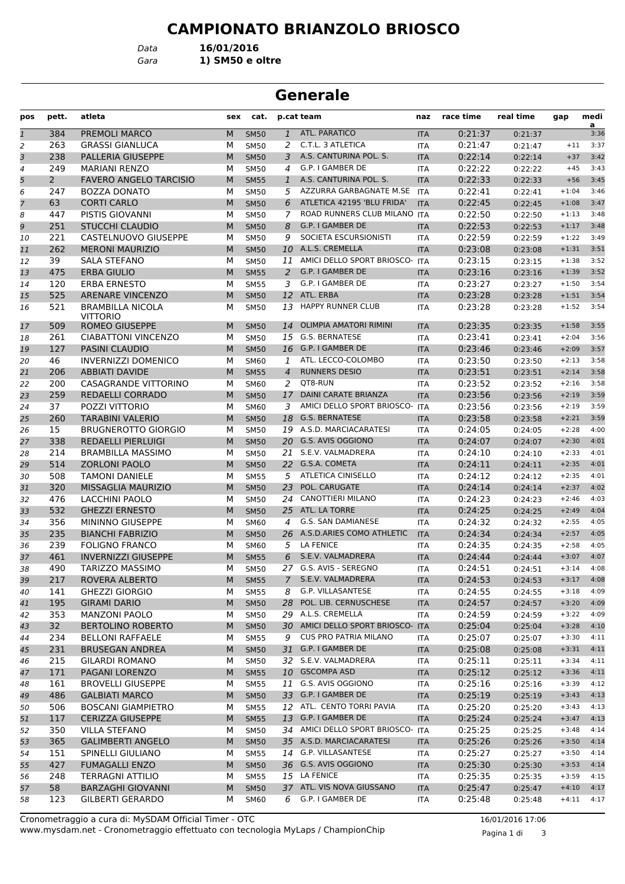*Gara* **1) SM50 e oltre** *Data* **16/01/2016**

### **Generale**

| pos          | pett.           | atleta                        | sex | cat.        |                | p.cat team                        | naz        | race time | real time | gap     | medi<br>$\overline{a}$ |
|--------------|-----------------|-------------------------------|-----|-------------|----------------|-----------------------------------|------------|-----------|-----------|---------|------------------------|
| $\mathbf{1}$ | 384             | PREMOLI MARCO                 | M   | <b>SM50</b> | $\mathbf{1}$   | <b>ATL. PARATICO</b>              | <b>ITA</b> | 0:21:37   | 0:21:37   |         | 3:36                   |
| 2            | 263             | <b>GRASSI GIANLUCA</b>        | М   | <b>SM50</b> | 2              | C.T.L. 3 ATLETICA                 | <b>ITA</b> | 0:21:47   | 0:21:47   | $+11$   | 3:37                   |
| 3            | 238             | PALLERIA GIUSEPPE             | M   | <b>SM50</b> | 3              | A.S. CANTURINA POL. S.            | <b>ITA</b> | 0:22:14   | 0:22:14   | $+37$   | 3:42                   |
| 4            | 249             | <b>MARIANI RENZO</b>          | М   | <b>SM50</b> | 4              | G.P. I GAMBER DE                  | <b>ITA</b> | 0:22:22   | 0:22:22   | $+45$   | 3:43                   |
| 5            | $\overline{2}$  | <b>FAVERO ANGELO TARCISIO</b> | M   | <b>SM55</b> | $\mathbf{1}$   | A.S. CANTURINA POL. S.            | <b>ITA</b> | 0:22:33   | 0:22:33   | $+56$   | 3:45                   |
| 6            | 247             | <b>BOZZA DONATO</b>           | м   | <b>SM50</b> | 5              | AZZURRA GARBAGNATE M.SE           | <b>ITA</b> | 0:22:41   | 0:22:41   | $+1:04$ | 3:46                   |
| 7            | 63              | <b>CORTI CARLO</b>            | M   | <b>SM50</b> | 6              | ATLETICA 42195 'BLU FRIDA'        | <b>ITA</b> | 0:22:45   | 0:22:45   | $+1:08$ | 3:47                   |
| 8            | 447             | PISTIS GIOVANNI               | М   | <b>SM50</b> | 7              | ROAD RUNNERS CLUB MILANO ITA      |            | 0:22:50   | 0:22:50   | $+1:13$ | 3:48                   |
| 9            | 251             | <b>STUCCHI CLAUDIO</b>        | M   | <b>SM50</b> | 8              | G.P. I GAMBER DE                  | <b>ITA</b> | 0:22:53   | 0:22:53   | $+1:17$ | 3:48                   |
| 10           | 221             | CASTELNUOVO GIUSEPPE          | М   | <b>SM50</b> | 9              | SOCIETA ESCURSIONISTI             | ITA        | 0:22:59   | 0:22:59   | $+1:22$ | 3:49                   |
| 11           | 262             | <b>MERONI MAURIZIO</b>        | M   | <b>SM50</b> | 10             | A.L.S. CREMELLA                   | <b>ITA</b> | 0:23:08   | 0:23:08   | $+1:31$ | 3:51                   |
| 12           | 39              | <b>SALA STEFANO</b>           | м   | <b>SM50</b> | 11             | AMICI DELLO SPORT BRIOSCO-        | <b>ITA</b> | 0:23:15   | 0:23:15   | $+1:38$ | 3:52                   |
| 13           | 475             | <b>ERBA GIULIO</b>            | M   | <b>SM55</b> | 2              | G.P. I GAMBER DE                  | <b>ITA</b> | 0:23:16   | 0:23:16   | $+1:39$ | 3:52                   |
| 14           | 120             | <b>ERBA ERNESTO</b>           | М   | <b>SM55</b> | 3              | G.P. I GAMBER DE                  | <b>ITA</b> | 0:23:27   | 0:23:27   | $+1:50$ | 3:54                   |
| 15           | 525             | <b>ARENARE VINCENZO</b>       | M   | <b>SM50</b> |                | 12 ATL. ERBA                      | <b>ITA</b> | 0:23:28   | 0:23:28   | $+1:51$ | 3:54                   |
| 16           | 521             | <b>BRAMBILLA NICOLA</b>       | М   | <b>SM50</b> | 13             | <b>HAPPY RUNNER CLUB</b>          | <b>ITA</b> | 0:23:28   | 0:23:28   | $+1:52$ | 3:54                   |
|              |                 | <b>VITTORIO</b>               |     |             |                |                                   |            |           |           |         |                        |
| 17           | 509             | <b>ROMEO GIUSEPPE</b>         | M   | <b>SM50</b> | 14             | <b>OLIMPIA AMATORI RIMINI</b>     | <b>ITA</b> | 0:23:35   | 0:23:35   | $+1:58$ | 3:55                   |
| 18           | 261             | <b>CIABATTONI VINCENZO</b>    | м   | <b>SM50</b> | 15             | G.S. BERNATESE                    | <b>ITA</b> | 0:23:41   | 0:23:41   | $+2:04$ | 3:56                   |
| 19           | 127             | <b>PASINI CLAUDIO</b>         | M   | <b>SM50</b> | 16             | G.P. I GAMBER DE                  | <b>ITA</b> | 0:23:46   | 0:23:46   | $+2:09$ | 3:57                   |
| 20           | 46              | <b>INVERNIZZI DOMENICO</b>    | м   | <b>SM60</b> | 1              | ATL. LECCO-COLOMBO                | <b>ITA</b> | 0:23:50   | 0:23:50   | $+2:13$ | 3:58                   |
| 21           | 206             | <b>ABBIATI DAVIDE</b>         | M   | <b>SM55</b> | $\overline{4}$ | <b>RUNNERS DESIO</b>              | <b>ITA</b> | 0:23:51   | 0:23:51   | $+2:14$ | 3:58                   |
| 22           | 200             | <b>CASAGRANDE VITTORINO</b>   | М   | <b>SM60</b> | 2              | QT8-RUN                           | <b>ITA</b> | 0:23:52   | 0:23:52   | $+2:16$ | 3:58                   |
| 23           | 259             | <b>REDAELLI CORRADO</b>       | M   | <b>SM50</b> | 17             | <b>DAINI CARATE BRIANZA</b>       | <b>ITA</b> | 0:23:56   | 0:23:56   | $+2:19$ | 3:59                   |
| 24           | 37              | POZZI VITTORIO                | м   | <b>SM60</b> | 3              | AMICI DELLO SPORT BRIOSCO- ITA    |            | 0:23:56   | 0:23:56   | $+2:19$ | 3:59                   |
| 25           | 260             | <b>TARABINI VALERIO</b>       | M   | <b>SM50</b> | 18             | <b>G.S. BERNATESE</b>             | <b>ITA</b> | 0:23:58   | 0:23:58   | $+2:21$ | 3:59                   |
| 26           | 15              | <b>BRUGNEROTTO GIORGIO</b>    | м   | <b>SM50</b> | 19             | A.S.D. MARCIACARATESI             | <b>ITA</b> | 0:24:05   | 0:24:05   | $+2:28$ | 4:00                   |
| 27           | 338             | <b>REDAELLI PIERLUIGI</b>     | M   | <b>SM50</b> | 20             | G.S. AVIS OGGIONO                 | <b>ITA</b> | 0:24:07   | 0:24:07   | $+2:30$ | 4:01                   |
| 28           | 214             | <b>BRAMBILLA MASSIMO</b>      | М   | <b>SM50</b> |                | 21 S.E.V. VALMADRERA              | <b>ITA</b> | 0:24:10   | 0:24:10   | $+2:33$ | 4:01                   |
| 29           | 514             | <b>ZORLONI PAOLO</b>          | M   | <b>SM50</b> |                | 22 G.S.A. COMETA                  | <b>ITA</b> | 0:24:11   | 0:24:11   | $+2:35$ | 4:01                   |
| 30           | 508             | <b>TAMONI DANIELE</b>         | м   | <b>SM55</b> | 5              | <b>ATLETICA CINISELLO</b>         | <b>ITA</b> | 0:24:12   | 0:24:12   | $+2:35$ | 4:01                   |
| 31           | 320             | MISSAGLIA MAURIZIO            | M   | <b>SM50</b> | 23             | POL. CARUGATE                     | <b>ITA</b> | 0:24:14   | 0:24:14   | $+2:37$ | 4:02                   |
| 32           | 476             | <b>LACCHINI PAOLO</b>         | М   | <b>SM50</b> | 24             | <b>CANOTTIERI MILANO</b>          | <b>ITA</b> | 0:24:23   | 0:24:23   | $+2:46$ | 4:03                   |
| 33           | 532             | <b>GHEZZI ERNESTO</b>         | M   | <b>SM50</b> | 25             | ATL. LA TORRE                     | <b>ITA</b> | 0:24:25   | 0:24:25   | $+2:49$ | 4:04                   |
| 34           | 356             | <b>MININNO GIUSEPPE</b>       | М   | <b>SM60</b> | 4              | G.S. SAN DAMIANESE                | <b>ITA</b> | 0:24:32   | 0:24:32   | $+2:55$ | 4:05                   |
| 35           | 235             | <b>BIANCHI FABRIZIO</b>       | M   | <b>SM50</b> |                | 26 A.S.D.ARIES COMO ATHLETIC      | <b>ITA</b> | 0:24:34   | 0:24:34   | $+2:57$ | 4:05                   |
| 36           | 239             | <b>FOLIGNO FRANCO</b>         | м   | <b>SM60</b> | 5              | <b>LA FENICE</b>                  | ITA        | 0:24:35   | 0:24:35   | $+2:58$ | 4:05                   |
| 37           | 461             | <b>INVERNIZZI GIUSEPPE</b>    | M   | <b>SM55</b> | 6              | S.E.V. VALMADRERA                 | <b>ITA</b> | 0:24:44   | 0:24:44   | $+3:07$ | 4:07                   |
| 38           | 490             | <b>TARIZZO MASSIMO</b>        | м   | <b>SM50</b> |                | 27 G.S. AVIS - SEREGNO            | <b>ITA</b> | 0:24:51   | 0:24:51   | $+3:14$ | 4:08                   |
| 39           | 217             | ROVERA ALBERTO                | M   | <b>SM55</b> |                | S.E.V. VALMADRERA                 | <b>ITA</b> | 0:24:53   | 0:24:53   | $+3:17$ | 4:08                   |
| 40           | 141             | <b>GHEZZI GIORGIO</b>         | м   | <b>SM55</b> | 8              | G.P. VILLASANTESE                 | ITA        | 0:24:55   | 0:24:55   | $+3:18$ | 4:09                   |
| 41           | 195             | <b>GIRAMI DARIO</b>           | М   | <b>SM50</b> | 28             | POL. LIB. CERNUSCHESE             | <b>ITA</b> | 0:24:57   | 0:24:57   | $+3:20$ | 4:09                   |
| 42           | 353             | <b>MANZONI PAOLO</b>          | м   | <b>SM50</b> |                | 29 A.L.S. CREMELLA                | ITA        | 0:24:59   | 0:24:59   | $+3:22$ | 4:09                   |
| 43           | 32 <sup>2</sup> | <b>BERTOLINO ROBERTO</b>      | M   | <b>SM50</b> |                | 30 AMICI DELLO SPORT BRIOSCO- ITA |            | 0:25:04   | 0:25:04   | $+3:28$ | 4:10                   |
| 44           | 234             | <b>BELLONI RAFFAELE</b>       | м   | <b>SM55</b> | 9              | <b>CUS PRO PATRIA MILANO</b>      | ITA        | 0:25:07   | 0:25:07   | $+3:30$ | 4:11                   |
| 45           | 231             | <b>BRUSEGAN ANDREA</b>        | M   | <b>SM50</b> |                | 31 G.P. I GAMBER DE               | <b>ITA</b> | 0:25:08   | 0:25:08   | $+3:31$ | 4:11                   |
| 46           | 215             | <b>GILARDI ROMANO</b>         | М   | <b>SM50</b> |                | 32 S.E.V. VALMADRERA              | ITA        | 0:25:11   | 0:25:11   | $+3:34$ | 4:11                   |
| 47           | 171             | PAGANI LORENZO                | M   | <b>SM55</b> |                | 10 GSCOMPA ASD                    | <b>ITA</b> | 0:25:12   | 0:25:12   | $+3:36$ | 4:11                   |
| 48           | 161             | <b>BROVELLI GIUSEPPE</b>      | М   | <b>SM55</b> | 11             | G.S. AVIS OGGIONO                 | ITA        | 0:25:16   | 0:25:16   | $+3:39$ | 4:12                   |
| 49           | 486             | <b>GALBIATI MARCO</b>         | M   | <b>SM50</b> |                | 33 G.P. I GAMBER DE               | <b>ITA</b> | 0:25:19   | 0:25:19   | $+3:43$ | 4:13                   |
| 50           | 506             | <b>BOSCANI GIAMPIETRO</b>     | м   | <b>SM55</b> |                | 12 ATL. CENTO TORRI PAVIA         | ITA        | 0:25:20   | 0:25:20   | $+3:43$ | 4:13                   |
| 51           | 117             | <b>CERIZZA GIUSEPPE</b>       | M   | <b>SM55</b> | 13             | G.P. I GAMBER DE                  | <b>ITA</b> | 0:25:24   | 0:25:24   | $+3:47$ | 4:13                   |
| 52           | 350             | <b>VILLA STEFANO</b>          | М   | <b>SM50</b> |                | 34 AMICI DELLO SPORT BRIOSCO- ITA |            | 0:25:25   | 0:25:25   | $+3:48$ | 4:14                   |
| 53           | 365             | <b>GALIMBERTI ANGELO</b>      | M   | <b>SM50</b> |                | 35 A.S.D. MARCIACARATESI          | <b>ITA</b> | 0:25:26   | 0:25:26   | $+3:50$ | 4:14                   |
| 54           | 151             | SPINELLI GIULIANO             | М   | <b>SM55</b> | 14             | G.P. VILLASANTESE                 | ITA        | 0:25:27   | 0:25:27   | $+3:50$ | 4:14                   |
| 55           | 427             | <b>FUMAGALLI ENZO</b>         | M   | <b>SM50</b> |                | 36 G.S. AVIS OGGIONO              | <b>ITA</b> | 0:25:30   | 0:25:30   | $+3:53$ | 4:14                   |
| 56           | 248             | <b>TERRAGNI ATTILIO</b>       | м   | <b>SM55</b> |                | 15 LA FENICE                      | ITA        | 0:25:35   | 0:25:35   | $+3:59$ | 4:15                   |
| 57           | 58              | BARZAGHI GIOVANNI             | М   | <b>SM50</b> |                | 37 ATL. VIS NOVA GIUSSANO         | <b>ITA</b> | 0:25:47   | 0:25:47   | $+4:10$ | 4:17                   |
| 58           | 123             | <b>GILBERTI GERARDO</b>       | М   | SM60        | 6              | G.P. I GAMBER DE                  | <b>ITA</b> | 0:25:48   | 0:25:48   | $+4:11$ | 4:17                   |
|              |                 |                               |     |             |                |                                   |            |           |           |         |                        |

www.mysdam.net - Cronometraggio effettuato con tecnologia MyLaps / ChampionChip Cronometraggio a cura di: MySDAM Official Timer - OTC 16/01/2016 17:06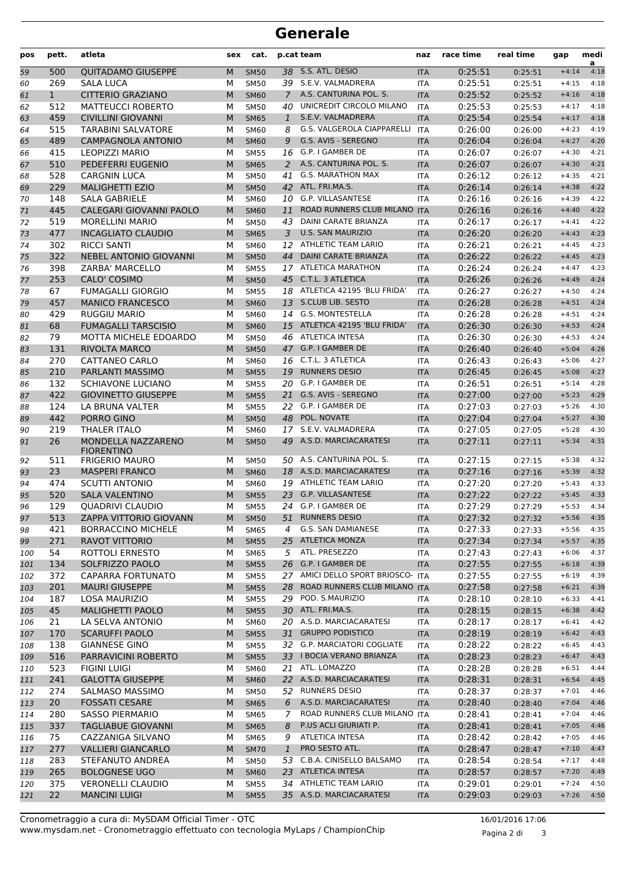| pos        | pett.        | atleta                                              | sex    | cat.                       |               | p.cat team                                  | naz               | race time          | real time          | gap                | medi<br>a    |
|------------|--------------|-----------------------------------------------------|--------|----------------------------|---------------|---------------------------------------------|-------------------|--------------------|--------------------|--------------------|--------------|
| 59         | 500          | <b>QUITADAMO GIUSEPPE</b>                           | M      | <b>SM50</b>                |               | 38 S.S. ATL. DESIO                          | <b>ITA</b>        | 0:25:51            | 0:25:51            | $+4:14$            | 4:18         |
| 60         | 269          | <b>SALA LUCA</b>                                    | М      | <b>SM50</b>                |               | 39 S.E.V. VALMADRERA                        | <b>ITA</b>        | 0:25:51            | 0:25:51            | $+4:15$            | 4:18         |
| 61         | $\mathbf{1}$ | <b>CITTERIO GRAZIANO</b>                            | M      | <b>SM60</b>                | $\mathcal{I}$ | A.S. CANTURINA POL. S.                      | <b>ITA</b>        | 0:25:52            | 0:25:52            | $+4:16$            | 4:18         |
| 62         | 512          | <b>MATTEUCCI ROBERTO</b>                            | М      | <b>SM50</b>                | 40            | UNICREDIT CIRCOLO MILANO                    | <b>ITA</b>        | 0:25:53            | 0:25:53            | $+4:17$            | 4:18         |
| 63         | 459          | <b>CIVILLINI GIOVANNI</b>                           | M      | <b>SM65</b>                | $\mathbf{1}$  | S.E.V. VALMADRERA                           | <b>ITA</b>        | 0:25:54            | 0:25:54            | $+4:17$            | 4:18         |
| 64         | 515          | <b>TARABINI SALVATORE</b>                           | М      | <b>SM60</b>                | 8             | G.S. VALGEROLA CIAPPARELLI                  | <b>ITA</b>        | 0:26:00            | 0:26:00            | $+4:23$            | 4:19         |
| 65         | 489          | <b>CAMPAGNOLA ANTONIO</b>                           | M      | <b>SM60</b>                | 9             | G.S. AVIS - SEREGNO                         | <b>ITA</b>        | 0:26:04            | 0:26:04            | $+4:27$            | 4:20         |
| 66         | 415          | <b>LEOPIZZI MARIO</b>                               | М      | <b>SM55</b>                | 16            | G.P. I GAMBER DE                            | <b>ITA</b>        | 0:26:07            | 0:26:07            | $+4:30$            | 4:21         |
| 67         | 510          | PEDEFERRI EUGENIO                                   | M      | <b>SM65</b>                | 2             | A.S. CANTURINA POL. S.                      | <b>ITA</b>        | 0:26:07            | 0:26:07            | $+4:30$            | 4:21         |
| 68         | 528          | <b>CARGNIN LUCA</b>                                 | М      | <b>SM50</b>                | 41            | <b>G.S. MARATHON MAX</b>                    | <b>ITA</b>        | 0:26:12            | 0:26:12            | $+4:35$            | 4:21         |
| 69         | 229          | <b>MALIGHETTI EZIO</b>                              | M      | <b>SM50</b>                |               | 42 ATL. FRI.MA.S.                           | <b>ITA</b>        | 0:26:14            | 0:26:14            | $+4:38$            | 4:22         |
| 70         | 148          | <b>SALA GABRIELE</b>                                | М      | <b>SM60</b>                | 10            | G.P. VILLASANTESE                           | <b>ITA</b>        | 0:26:16            | 0:26:16            | $+4:39$            | 4:22         |
| 71         | 445          | CALEGARI GIOVANNI PAOLO                             | M      | <b>SM60</b>                | 11            | ROAD RUNNERS CLUB MILANO                    | <b>ITA</b>        | 0:26:16            | 0:26:16            | $+4:40$            | 4:22         |
| 72         | 519          | <b>MORELLINI MARIO</b>                              | М      | <b>SM50</b>                | 43            | DAINI CARATE BRIANZA                        | ITA               | 0:26:17            | 0:26:17            | $+4:41$            | 4:22         |
| 73         | 477          | <b>INCAGLIATO CLAUDIO</b>                           | M      | <b>SM65</b>                | 3             | <b>U.S. SAN MAURIZIO</b>                    | <b>ITA</b>        | 0:26:20            | 0:26:20            | $+4:43$            | 4:23         |
| 74         | 302          | <b>RICCI SANTI</b>                                  | М      | SM60                       | 12            | ATHLETIC TEAM LARIO                         | <b>ITA</b>        | 0:26:21            | 0:26:21            | $+4:45$            | 4:23         |
| 75         | 322          | <b>NEBEL ANTONIO GIOVANNI</b>                       | M      | <b>SM50</b>                | 44            | DAINI CARATE BRIANZA                        | <b>ITA</b>        | 0:26:22            | 0:26:22            | $+4:45$            | 4:23         |
| 76         | 398          | ZARBA' MARCELLO                                     | м      | <b>SM55</b>                |               | 17 ATLETICA MARATHON                        | ITA               | 0:26:24            | 0:26:24            | $+4:47$            | 4:23         |
| 77         | 253          | CALO' COSIMO                                        | M      | <b>SM50</b>                |               | 45 C.T.L. 3 ATLETICA                        | <b>ITA</b>        | 0:26:26            | 0:26:26            | $+4:49$            | 4:24         |
| 78         | 67           | <b>FUMAGALLI GIORGIO</b>                            | М      | <b>SM55</b>                |               | 18 ATLETICA 42195 'BLU FRIDA'               | <b>ITA</b>        | 0:26:27            | 0:26:27            | $+4:50$            | 4:24         |
| 79         | 457          | <b>MANICO FRANCESCO</b>                             | M      | <b>SM60</b>                |               | 13 S.CLUB LIB. SESTO                        | <b>ITA</b>        | 0:26:28            | 0:26:28            | $+4:51$            | 4:24         |
| 80         | 429          | <b>RUGGIU MARIO</b>                                 | M      | SM60                       |               | 14 G.S. MONTESTELLA                         | <b>ITA</b>        | 0:26:28            | 0:26:28            | $+4:51$            | 4:24         |
| 81         | 68           | <b>FUMAGALLI TARSCISIO</b>                          | M      | <b>SM60</b>                |               | 15 ATLETICA 42195 'BLU FRIDA'               | <b>ITA</b>        | 0:26:30            | 0:26:30            | $+4:53$            | 4:24         |
| 82         | 79           | MOTTA MICHELE EDOARDO                               | м      | <b>SM50</b>                |               | 46 ATLETICA INTESA                          | ITA               | 0:26:30            | 0:26:30            | $+4:53$            | 4:24         |
| 83         | 131          | <b>RIVOLTA MARCO</b>                                | M      | <b>SM50</b>                |               | 47 G.P. I GAMBER DE                         | <b>ITA</b>        | 0:26:40            | 0:26:40            | $+5:04$            | 4:26         |
| 84         | 270          | <b>CATTANEO CARLO</b>                               | М      | <b>SM60</b>                | 16            | C.T.L. 3 ATLETICA                           | <b>ITA</b>        | 0:26:43            | 0:26:43            | $+5:06$            | 4:27         |
| 85         | 210          | PARLANTI MASSIMO                                    | M      | <b>SM55</b>                | 19            | <b>RUNNERS DESIO</b>                        | <b>ITA</b>        | 0:26:45            | 0:26:45            | $+5:08$            | 4:27         |
| 86         | 132          | SCHIAVONE LUCIANO                                   | М      | <b>SM55</b>                |               | 20 G.P. I GAMBER DE                         | <b>ITA</b>        | 0:26:51            | 0:26:51            | $+5:14$            | 4:28         |
| 87         | 422          | <b>GIOVINETTO GIUSEPPE</b>                          | M      | <b>SM55</b>                |               | 21 G.S. AVIS - SEREGNO                      | <b>ITA</b>        | 0:27:00            | 0:27:00            | $+5:23$            | 4:29         |
| 88         | 124          | LA BRUNA VALTER                                     | м      | <b>SM55</b>                |               | 22 G.P. I GAMBER DE                         | <b>ITA</b>        | 0:27:03            | 0:27:03            | $+5:26$            | 4:30         |
| 89         | 442          | PORRO GINO                                          | M      | <b>SM50</b>                |               | 48 POL. NOVATE                              | <b>ITA</b>        | 0:27:04            | 0:27:04            | $+5:27$            | 4:30         |
| 90         | 219          | <b>THALER ITALO</b>                                 | М      | <b>SM60</b>                |               | 17 S.E.V. VALMADRERA                        | <b>ITA</b>        | 0:27:05            | 0:27:05            | $+5:28$            | 4:30         |
| 91         | 26           | MONDELLA NAZZARENO<br><b>FIORENTINO</b>             | M      | <b>SM50</b>                |               | 49 A.S.D. MARCIACARATESI                    | <b>ITA</b>        | 0:27:11            | 0:27:11            | $+5:34$            | 4:31         |
| 92         | 511          | <b>FRIGERIO MAURO</b>                               | м      | <b>SM50</b>                | 50            | A.S. CANTURINA POL. S.                      | ITA               | 0:27:15            | 0:27:15            | $+5:38$            | 4:32         |
| 93         | 23           | <b>MASPERI FRANCO</b>                               | M      | <b>SM60</b>                | 18            | A.S.D. MARCIACARATESI                       | <b>ITA</b>        | 0:27:16            | 0:27:16            | $+5:39$            | 4:32         |
| 94         | 474          | <b>SCUTTI ANTONIO</b>                               | М      | <b>SM60</b>                |               | 19 ATHLETIC TEAM LARIO                      | <b>ITA</b>        | 0:27:20            | 0:27:20            | $+5:43$            | 4:33         |
| 95         | 520          | <b>SALA VALENTINO</b>                               | M      | <b>SM55</b>                | 23            | <b>G.P. VILLASANTESE</b>                    | <b>ITA</b>        | 0:27:22            | 0:27:22            | $+5:45$            | 4:33         |
| 96         | 129          | <b>QUADRIVI CLAUDIO</b>                             | м      | <b>SM55</b>                |               | 24 G.P. I GAMBER DE                         | <b>ITA</b>        | 0:27:29            | 0:27:29            | $+5:53$            | 4:34         |
| 97         | 513          | ZAPPA VITTORIO GIOVANN                              |        | M SM50                     |               | 51 RUNNERS DESIO                            | <b>ITA</b>        | 0:27:32            | 0:27:32            | $+5:56$ 4:35       |              |
| 98         | 421          | <b>BORRACCINO MICHELE</b>                           | м      | <b>SM65</b>                | 4             | G.S. SAN DAMIANESE                          | ITA               | 0:27:33            | 0:27:33            | $+5:56$            | 4:35         |
| 99         | 271          | <b>RAVOT VITTORIO</b>                               | M      | <b>SM55</b>                | 25            | <b>ATLETICA MONZA</b>                       | <b>ITA</b>        | 0:27:34            | 0:27:34            | $+5:57$            | 4:35         |
| 100        | 54           | ROTTOLI ERNESTO                                     | м      | <b>SM65</b>                | 5             | ATL. PRESEZZO                               | ITA               | 0:27:43            | 0:27:43            | $+6:06$            | 4:37         |
| 101        | 134          | SOLFRIZZO PAOLO                                     | M      | <b>SM55</b>                |               | 26 G.P. I GAMBER DE                         | <b>ITA</b>        | 0:27:55            | 0:27:55            | $+6:18$            | 4:39         |
| 102        | 372          | CAPARRA FORTUNATO                                   | М      | <b>SM55</b>                |               | 27 AMICI DELLO SPORT BRIOSCO- ITA           |                   | 0:27:55            | 0:27:55            | $+6:19$            | 4:39         |
| 103        | 201          | <b>MAURI GIUSEPPE</b>                               | M      | <b>SM55</b>                |               | 28 ROAD RUNNERS CLUB MILANO ITA             |                   | 0:27:58            | 0:27:58            | $+6:21$            | 4:39         |
| 104        | 187          | LOSA MAURIZIO                                       | М      | <b>SM55</b>                | 29            | POD. S.MAURIZIO                             | ITA               | 0:28:10            | 0:28:10            | $+6:33$            | 4:41         |
| 105        | 45           | <b>MALIGHETTI PAOLO</b>                             | M      | <b>SM55</b>                |               | 30 ATL. FRI.MA.S.                           | <b>ITA</b>        | 0:28:15            | 0:28:15            | $+6:38$            | 4:42         |
| 106        | 21           | LA SELVA ANTONIO                                    | м      | <b>SM60</b>                |               | 20 A.S.D. MARCIACARATESI                    | ITA               | 0:28:17            | 0:28:17            | $+6:41$            | 4:42         |
| 107        | 170          | <b>SCARUFFI PAOLO</b>                               | M      | <b>SM55</b>                | 31            | <b>GRUPPO PODISTICO</b>                     | <b>ITA</b>        | 0:28:19            | 0:28:19            | $+6:42$            | 4:43         |
| 108        | 138          | <b>GIANNESE GINO</b>                                | М      | <b>SM55</b>                |               | 32 G.P. MARCIATORI COGLIATE                 | ITA               | 0:28:22            | 0:28:22            | $+6:45$            | 4:43         |
| 109        | 516          | PARRAVICINI ROBERTO                                 | M      | <b>SM55</b>                |               | 33 I BOCIA VERANO BRIANZA                   | <b>ITA</b>        | 0:28:23            | 0:28:23            | $+6:47$            | 4:43         |
| 110        | 523          | <b>FIGINI LUIGI</b>                                 | м      | <b>SM60</b>                |               | 21 ATL. LOMAZZO<br>22 A.S.D. MARCIACARATESI | ITA               | 0:28:28            | 0:28:28            | $+6:51$            | 4:44         |
| 111        | 241          | <b>GALOTTA GIUSEPPE</b>                             | M      | <b>SM60</b>                |               |                                             | <b>ITA</b>        | 0:28:31            | 0:28:31            | $+6:54$            | 4:45         |
| 112        | 274          | SALMASO MASSIMO                                     | м      | <b>SM50</b>                |               | 52 RUNNERS DESIO<br>A.S.D. MARCIACARATESI   | ITA               | 0:28:37            | 0:28:37            | $+7:01$            | 4:46<br>4:46 |
| 113        | 20           | <b>FOSSATI CESARE</b>                               | M      | <b>SM65</b>                | 6             | ROAD RUNNERS CLUB MILANO ITA                | <b>ITA</b>        | 0:28:40            | 0:28:40            | $+7:04$            | 4:46         |
| 114        | 280<br>337   | <b>SASSO PIERMARIO</b><br><b>TAGLIABUE GIOVANNI</b> | М<br>M | <b>SM65</b>                | 7<br>8        | P.US ACLI GIURIATI P.                       |                   | 0:28:41            | 0:28:41            | $+7:04$<br>$+7:05$ | 4:46         |
| 115        | 75           | CAZZANIGA SILVANO                                   |        | <b>SM65</b><br><b>SM65</b> | 9             | <b>ATLETICA INTESA</b>                      | <b>ITA</b>        | 0:28:41<br>0:28:42 | 0:28:41            | $+7:05$            | 4:46         |
| 116<br>117 | 277          | <b>VALLIERI GIANCARLO</b>                           | м<br>M | <b>SM70</b>                | $\mathbf{1}$  | PRO SESTO ATL.                              | ITA<br><b>ITA</b> | 0:28:47            | 0:28:42<br>0:28:47 | $+7:10$            | 4:47         |
| 118        | 283          | STEFANUTO ANDREA                                    | м      | <b>SM50</b>                |               | 53 C.B.A. CINISELLO BALSAMO                 | ITA               | 0:28:54            | 0:28:54            | $+7:17$            | 4:48         |
| 119        | 265          | <b>BOLOGNESE UGO</b>                                | M      | <b>SM60</b>                |               | 23 ATLETICA INTESA                          | <b>ITA</b>        | 0:28:57            | 0:28:57            | $+7:20$            | 4:49         |
| 120        | 375          | <b>VERONELLI CLAUDIO</b>                            | М      | <b>SM55</b>                |               | 34 ATHLETIC TEAM LARIO                      | ITA               | 0:29:01            | 0:29:01            | $+7:24$            | 4:50         |
| 121        | 22           | <b>MANCINI LUIGI</b>                                | M      | <b>SM55</b>                |               | 35 A.S.D. MARCIACARATESI                    | <b>ITA</b>        | 0:29:03            | 0:29:03            | $+7:26$            | 4:50         |
|            |              |                                                     |        |                            |               |                                             |                   |                    |                    |                    |              |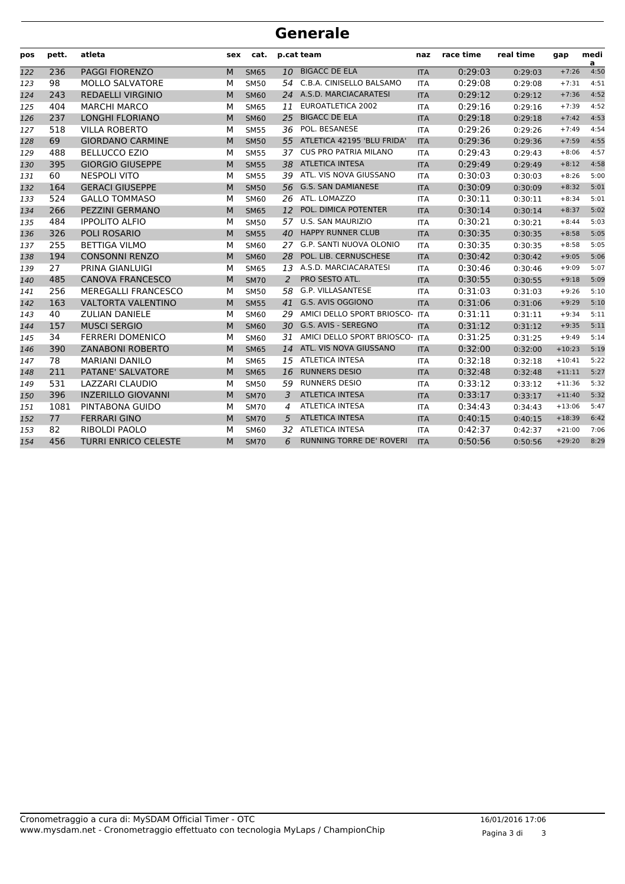| pos | pett. | atleta                      | sex | cat.        |    | p.cat team                    | naz        | race time | real time | gap      | medi<br>a |
|-----|-------|-----------------------------|-----|-------------|----|-------------------------------|------------|-----------|-----------|----------|-----------|
| 122 | 236   | <b>PAGGI FIORENZO</b>       | M   | <b>SM65</b> | 10 | <b>BIGACC DE ELA</b>          | <b>ITA</b> | 0:29:03   | 0:29:03   | $+7:26$  | 4:50      |
| 123 | 98    | <b>MOLLO SALVATORE</b>      | М   | <b>SM50</b> | 54 | C.B.A. CINISELLO BALSAMO      | <b>ITA</b> | 0:29:08   | 0:29:08   | $+7:31$  | 4:51      |
| 124 | 243   | <b>REDAELLI VIRGINIO</b>    | M   | <b>SM60</b> | 24 | A.S.D. MARCIACARATESI         | <b>ITA</b> | 0:29:12   | 0:29:12   | $+7:36$  | 4:52      |
| 125 | 404   | <b>MARCHI MARCO</b>         | M   | <b>SM65</b> | 11 | EUROATLETICA 2002             | <b>ITA</b> | 0:29:16   | 0:29:16   | $+7:39$  | 4:52      |
| 126 | 237   | <b>LONGHI FLORIANO</b>      | M   | <b>SM60</b> | 25 | <b>BIGACC DE ELA</b>          | <b>ITA</b> | 0:29:18   | 0:29:18   | $+7:42$  | 4:53      |
| 127 | 518   | <b>VILLA ROBERTO</b>        | М   | <b>SM55</b> | 36 | POL. BESANESE                 | <b>ITA</b> | 0:29:26   | 0:29:26   | $+7:49$  | 4:54      |
| 128 | 69    | <b>GIORDANO CARMINE</b>     | M   | <b>SM50</b> |    | 55 ATLETICA 42195 'BLU FRIDA' | <b>ITA</b> | 0:29:36   | 0:29:36   | $+7:59$  | 4:55      |
| 129 | 488   | <b>BELLUCCO EZIO</b>        | M   | <b>SM55</b> | 37 | <b>CUS PRO PATRIA MILANO</b>  | <b>ITA</b> | 0:29:43   | 0:29:43   | $+8:06$  | 4:57      |
| 130 | 395   | <b>GIORGIO GIUSEPPE</b>     | M   | <b>SM55</b> | 38 | <b>ATLETICA INTESA</b>        | <b>ITA</b> | 0:29:49   | 0:29:49   | $+8:12$  | 4:58      |
| 131 | 60    | <b>NESPOLI VITO</b>         | M   | <b>SM55</b> | 39 | ATL. VIS NOVA GIUSSANO        | <b>ITA</b> | 0:30:03   | 0:30:03   | $+8:26$  | 5:00      |
| 132 | 164   | <b>GERACI GIUSEPPE</b>      | M   | <b>SM50</b> | 56 | <b>G.S. SAN DAMIANESE</b>     | <b>ITA</b> | 0:30:09   | 0:30:09   | $+8:32$  | 5:01      |
| 133 | 524   | <b>GALLO TOMMASO</b>        | М   | <b>SM60</b> | 26 | ATL. LOMAZZO                  | <b>ITA</b> | 0:30:11   | 0:30:11   | $+8:34$  | 5:01      |
| 134 | 266   | <b>PEZZINI GERMANO</b>      | M   | <b>SM65</b> | 12 | POL. DIMICA POTENTER          | <b>ITA</b> | 0:30:14   | 0:30:14   | $+8:37$  | 5:02      |
| 135 | 484   | <b>IPPOLITO ALFIO</b>       | M   | <b>SM50</b> | 57 | <b>U.S. SAN MAURIZIO</b>      | <b>ITA</b> | 0:30:21   | 0:30:21   | $+8:44$  | 5:03      |
| 136 | 326   | <b>POLI ROSARIO</b>         | M   | <b>SM55</b> | 40 | <b>HAPPY RUNNER CLUB</b>      | <b>ITA</b> | 0:30:35   | 0:30:35   | $+8:58$  | 5:05      |
| 137 | 255   | <b>BETTIGA VILMO</b>        | M   | <b>SM60</b> | 27 | G.P. SANTI NUOVA OLONIO       | <b>ITA</b> | 0:30:35   | 0:30:35   | $+8:58$  | 5:05      |
| 138 | 194   | <b>CONSONNI RENZO</b>       | M   | <b>SM60</b> | 28 | POL. LIB. CERNUSCHESE         | <b>ITA</b> | 0:30:42   | 0:30:42   | $+9:05$  | 5:06      |
| 139 | 27    | PRINA GIANLUIGI             | М   | SM65        | 13 | A.S.D. MARCIACARATESI         | <b>ITA</b> | 0:30:46   | 0:30:46   | $+9:09$  | 5:07      |
| 140 | 485   | <b>CANOVA FRANCESCO</b>     | M   | <b>SM70</b> | 2  | PRO SESTO ATL.                | <b>ITA</b> | 0:30:55   | 0:30:55   | $+9:18$  | 5:09      |
| 141 | 256   | MEREGALLI FRANCESCO         | M   | <b>SM50</b> | 58 | G.P. VILLASANTESE             | <b>ITA</b> | 0:31:03   | 0:31:03   | $+9:26$  | 5:10      |
| 142 | 163   | <b>VALTORTA VALENTINO</b>   | M   | <b>SM55</b> | 41 | G.S. AVIS OGGIONO             | <b>ITA</b> | 0:31:06   | 0:31:06   | $+9:29$  | 5:10      |
| 143 | 40    | <b>ZULIAN DANIELE</b>       | M   | <b>SM60</b> | 29 | AMICI DELLO SPORT BRIOSCO-    | <b>ITA</b> | 0:31:11   | 0:31:11   | $+9:34$  | 5:11      |
| 144 | 157   | <b>MUSCI SERGIO</b>         | M   | <b>SM60</b> | 30 | G.S. AVIS - SEREGNO           | <b>ITA</b> | 0:31:12   | 0:31:12   | $+9:35$  | 5:11      |
| 145 | 34    | <b>FERRERI DOMENICO</b>     | М   | <b>SM60</b> | 31 | AMICI DELLO SPORT BRIOSCO-    | <b>ITA</b> | 0:31:25   | 0:31:25   | $+9:49$  | 5:14      |
| 146 | 390   | <b>ZANABONI ROBERTO</b>     | M   | <b>SM65</b> | 14 | ATL. VIS NOVA GIUSSANO        | <b>ITA</b> | 0:32:00   | 0:32:00   | $+10:23$ | 5:19      |
| 147 | 78    | <b>MARIANI DANILO</b>       | M   | <b>SM65</b> | 15 | <b>ATLETICA INTESA</b>        | <b>ITA</b> | 0:32:18   | 0:32:18   | $+10:41$ | 5:22      |
| 148 | 211   | PATANE' SALVATORE           | M   | <b>SM65</b> | 16 | <b>RUNNERS DESIO</b>          | <b>ITA</b> | 0:32:48   | 0:32:48   | $+11:11$ | 5:27      |
| 149 | 531   | <b>LAZZARI CLAUDIO</b>      | M   | <b>SM50</b> | 59 | <b>RUNNERS DESIO</b>          | <b>ITA</b> | 0:33:12   | 0:33:12   | $+11:36$ | 5:32      |
| 150 | 396   | <b>INZERILLO GIOVANNI</b>   | M   | <b>SM70</b> | 3  | <b>ATLETICA INTESA</b>        | <b>ITA</b> | 0:33:17   | 0:33:17   | $+11:40$ | 5:32      |
| 151 | 1081  | PINTABONA GUIDO             | M   | <b>SM70</b> | 4  | <b>ATLETICA INTESA</b>        | <b>ITA</b> | 0:34:43   | 0:34:43   | $+13:06$ | 5:47      |
| 152 | 77    | <b>FERRARI GINO</b>         | M   | <b>SM70</b> | 5  | <b>ATLETICA INTESA</b>        | <b>ITA</b> | 0:40:15   | 0:40:15   | $+18:39$ | 6:42      |
| 153 | 82    | <b>RIBOLDI PAOLO</b>        | М   | SM60        | 32 | <b>ATLETICA INTESA</b>        | <b>ITA</b> | 0:42:37   | 0:42:37   | $+21:00$ | 7:06      |
| 154 | 456   | <b>TURRI ENRICO CELESTE</b> | M   | <b>SM70</b> | 6  | RUNNING TORRE DE' ROVERI      | <b>ITA</b> | 0:50:56   | 0:50:56   | $+29:20$ | 8:29      |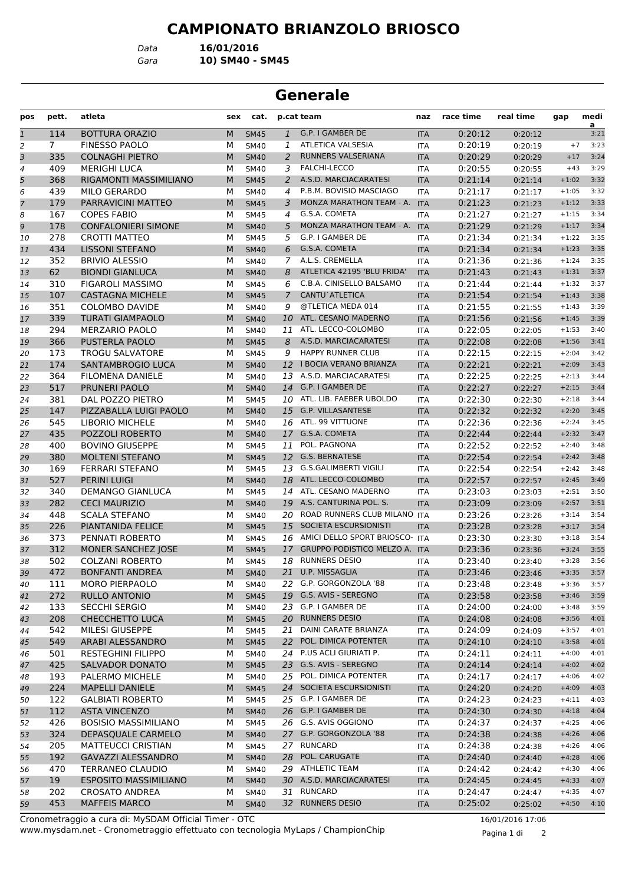*Data* **16/01/2016**

*Gara* **10) SM40 - SM45**

## **Generale**

| pos           | pett. | atleta                       | sex | cat.        |                | p.cat team                     | naz        | race time | real time | gap     | medi<br>a |
|---------------|-------|------------------------------|-----|-------------|----------------|--------------------------------|------------|-----------|-----------|---------|-----------|
| $\mathfrak 1$ | 114   | <b>BOTTURA ORAZIO</b>        | M   | <b>SM45</b> | $\mathbf{1}$   | G.P. I GAMBER DE               | <b>ITA</b> | 0:20:12   | 0:20:12   |         | 3:21      |
| 2             | 7     | <b>FINESSO PAOLO</b>         | М   | <b>SM40</b> | 1              | ATLETICA VALSESIA              | <b>ITA</b> | 0:20:19   | 0:20:19   | $+7$    | 3:23      |
| 3             | 335   | <b>COLNAGHI PIETRO</b>       | M   | <b>SM40</b> | $\overline{2}$ | RUNNERS VALSERIANA             | <b>ITA</b> | 0:20:29   | 0:20:29   | $+17$   | 3:24      |
| 4             | 409   | <b>MERIGHI LUCA</b>          | М   | <b>SM40</b> | 3              | <b>FALCHI-LECCO</b>            | <b>ITA</b> | 0:20:55   | 0:20:55   | $+43$   | 3:29      |
| 5             | 368   | RIGAMONTI MASSIMILIANO       | M   | <b>SM45</b> | 2              | A.S.D. MARCIACARATESI          | <b>ITA</b> | 0:21:14   | 0:21:14   | $+1:02$ | 3:32      |
| 6             | 439   | <b>MILO GERARDO</b>          | М   | <b>SM40</b> | 4              | P.B.M. BOVISIO MASCIAGO        | <b>ITA</b> | 0:21:17   | 0:21:17   | $+1:05$ | 3:32      |
| 7             | 179   | PARRAVICINI MATTEO           | M   | <b>SM45</b> | 3              | MONZA MARATHON TEAM - A.       | <b>ITA</b> | 0:21:23   | 0:21:23   | $+1:12$ | 3:33      |
| 8             | 167   | <b>COPES FABIO</b>           | М   | <b>SM45</b> | 4              | G.S.A. COMETA                  | <b>ITA</b> | 0:21:27   | 0:21:27   | $+1:15$ | 3:34      |
| 9             | 178   | <b>CONFALONIERI SIMONE</b>   | M   | <b>SM40</b> | 5              | MONZA MARATHON TEAM - A. ITA   |            | 0:21:29   | 0:21:29   | $+1:17$ | 3:34      |
| 10            | 278   | <b>CROTTI MATTEO</b>         | М   | <b>SM45</b> | 5              | G.P. I GAMBER DE               | <b>ITA</b> | 0:21:34   | 0:21:34   | $+1:22$ | 3:35      |
| 11            | 434   | <b>LISSONI STEFANO</b>       | M   | <b>SM40</b> | 6              | G.S.A. COMETA                  | <b>ITA</b> | 0:21:34   | 0:21:34   | $+1:23$ | 3:35      |
| 12            | 352   | <b>BRIVIO ALESSIO</b>        | М   | <b>SM40</b> | 7              | A.L.S. CREMELLA                | <b>ITA</b> | 0:21:36   | 0:21:36   | $+1:24$ | 3:35      |
| 13            | 62    | <b>BIONDI GIANLUCA</b>       | M   | <b>SM40</b> | 8              | ATLETICA 42195 'BLU FRIDA'     | <b>ITA</b> | 0:21:43   | 0:21:43   | $+1:31$ | 3:37      |
| 14            | 310   | FIGAROLI MASSIMO             | М   | <b>SM45</b> | 6              | C.B.A. CINISELLO BALSAMO       | <b>ITA</b> | 0:21:44   | 0:21:44   | $+1:32$ | 3:37      |
| 15            | 107   | <b>CASTAGNA MICHELE</b>      | M   | <b>SM45</b> | $\overline{7}$ | CANTU`ATLETICA                 | <b>ITA</b> | 0:21:54   | 0:21:54   | $+1:43$ | 3:38      |
| 16            | 351   | <b>COLOMBO DAVIDE</b>        | М   | <b>SM40</b> | 9              | @TLETICA MEDA 014              | <b>ITA</b> | 0:21:55   | 0:21:55   | $+1:43$ | 3:39      |
| 17            | 339   | <b>TURATI GIAMPAOLO</b>      | M   | <b>SM40</b> | 10             | ATL. CESANO MADERNO            | <b>ITA</b> | 0:21:56   | 0:21:56   | $+1:45$ | 3:39      |
| 18            | 294   | <b>MERZARIO PAOLO</b>        | м   | <b>SM40</b> | 11             | ATL. LECCO-COLOMBO             | <b>ITA</b> | 0:22:05   | 0:22:05   | $+1:53$ | 3:40      |
| 19            | 366   | <b>PUSTERLA PAOLO</b>        | M   | <b>SM45</b> | 8              | A.S.D. MARCIACARATESI          | <b>ITA</b> | 0:22:08   | 0:22:08   | $+1:56$ | 3:41      |
| 20            | 173   | <b>TROGU SALVATORE</b>       | М   | <b>SM45</b> | 9              | <b>HAPPY RUNNER CLUB</b>       | <b>ITA</b> | 0:22:15   | 0:22:15   | $+2:04$ | 3:42      |
| 21            | 174   | SANTAMBROGIO LUCA            | M   | <b>SM40</b> |                | 12 I BOCIA VERANO BRIANZA      | <b>ITA</b> | 0:22:21   | 0:22:21   | $+2:09$ | 3:43      |
| 22            | 364   | FILOMENA DANIELE             | М   | <b>SM40</b> | 13             | A.S.D. MARCIACARATESI          | <b>ITA</b> | 0:22:25   | 0:22:25   | $+2:13$ | 3:44      |
| 23            | 517   | PRUNERI PAOLO                | M   | <b>SM40</b> | 14             | G.P. I GAMBER DE               | <b>ITA</b> | 0:22:27   | 0:22:27   | $+2:15$ | 3:44      |
| 24            | 381   | DAL POZZO PIETRO             | м   | <b>SM45</b> | 10             | ATL. LIB. FAEBER UBOLDO        | <b>ITA</b> | 0:22:30   | 0:22:30   | $+2:18$ | 3:44      |
| 25            | 147   | PIZZABALLA LUIGI PAOLO       | M   | <b>SM40</b> | 15             | <b>G.P. VILLASANTESE</b>       | <b>ITA</b> | 0:22:32   | 0:22:32   | $+2:20$ | 3:45      |
| 26            | 545   | <b>LIBORIO MICHELE</b>       | М   | <b>SM40</b> | 16             | ATL. 99 VITTUONE               | <b>ITA</b> | 0:22:36   | 0:22:36   | $+2:24$ | 3:45      |
| 27            | 435   | POZZOLI ROBERTO              | M   | <b>SM40</b> | 17             | G.S.A. COMETA                  | <b>ITA</b> | 0:22:44   | 0:22:44   | $+2:32$ | 3:47      |
| 28            | 400   | <b>BOVINO GIUSEPPE</b>       | М   | <b>SM45</b> | 11             | POL. PAGNONA                   | <b>ITA</b> | 0:22:52   | 0:22:52   | $+2:40$ | 3:48      |
| 29            | 380   | <b>MOLTENI STEFANO</b>       | M   | <b>SM45</b> | 12             | <b>G.S. BERNATESE</b>          | <b>ITA</b> | 0:22:54   | 0:22:54   | $+2:42$ | 3:48      |
| 30            | 169   | <b>FERRARI STEFANO</b>       | М   | <b>SM45</b> | 13             | <b>G.S.GALIMBERTI VIGILI</b>   | <b>ITA</b> | 0:22:54   | 0:22:54   | $+2:42$ | 3:48      |
| 31            | 527   | <b>PERINI LUIGI</b>          | M   | <b>SM40</b> | 18             | ATL. LECCO-COLOMBO             | <b>ITA</b> | 0:22:57   | 0:22:57   | $+2:45$ | 3:49      |
| 32            | 340   | DEMANGO GIANLUCA             | М   | <b>SM45</b> | 14             | ATL. CESANO MADERNO            | <b>ITA</b> | 0:23:03   | 0:23:03   | $+2:51$ | 3:50      |
| 33            | 282   | <b>CECI MAURIZIO</b>         | M   | <b>SM40</b> | 19             | A.S. CANTURINA POL. S.         | <b>ITA</b> | 0:23:09   | 0:23:09   | $+2:57$ | 3:51      |
| 34            | 448   | <b>SCALA STEFANO</b>         | М   | <b>SM40</b> | 20             | ROAD RUNNERS CLUB MILANO ITA   |            | 0:23:26   | 0:23:26   | $+3:14$ | 3:54      |
| 35            | 226   | PIANTANIDA FELICE            | M   | <b>SM45</b> | 15             | SOCIETA ESCURSIONISTI          | <b>ITA</b> | 0:23:28   | 0:23:28   | $+3:17$ | 3:54      |
| 36            | 373   | PENNATI ROBERTO              | М   | <b>SM45</b> | 16             | AMICI DELLO SPORT BRIOSCO- ITA |            | 0:23:30   | 0:23:30   | $+3:18$ | 3:54      |
| 37            | 312   | MONER SANCHEZ JOSE           | M   | <b>SM45</b> | 17             | GRUPPO PODISTICO MELZO A. ITA  |            | 0:23:36   | 0:23:36   | $+3:24$ | 3:55      |
| 38            | 502   | <b>COLZANI ROBERTO</b>       | М   | <b>SM45</b> | 18             | <b>RUNNERS DESIO</b>           | <b>ITA</b> | 0:23:40   | 0:23:40   | $+3:28$ | 3:56      |
| 39            | 472   | <b>BONFANTI ANDREA</b>       | M   | <b>SM40</b> | 21             | U.P. MISSAGLIA                 | <b>ITA</b> | 0:23:46   | 0:23:46   | $+3:35$ | 3:57      |
| 40            | 111   | <b>MORO PIERPAOLO</b>        | м   | <b>SM40</b> |                | 22 G.P. GORGONZOLA '88         | ITA        | 0:23:48   | 0:23:48   | $+3:36$ | 3:57      |
| 41            | 272   | <b>RULLO ANTONIO</b>         | M   | <b>SM45</b> | 19             | G.S. AVIS - SEREGNO            | <b>ITA</b> | 0:23:58   | 0:23:58   | $+3:46$ | 3:59      |
| 42            | 133   | SECCHI SERGIO                | м   | <b>SM40</b> | 23             | G.P. I GAMBER DE               | ITA        | 0:24:00   | 0:24:00   | $+3:48$ | 3:59      |
| 43            | 208   | CHECCHETTO LUCA              | M   | <b>SM45</b> |                | 20 RUNNERS DESIO               | <b>ITA</b> | 0:24:08   | 0:24:08   | $+3:56$ | 4:01      |
| 44            | 542   | <b>MILESI GIUSEPPE</b>       | м   | <b>SM45</b> | 21             | DAINI CARATE BRIANZA           | ITA        | 0:24:09   | 0:24:09   | $+3:57$ | 4:01      |
| 45            | 549   | ARABI ALESSANDRO             | M   | <b>SM45</b> |                | 22 POL. DIMICA POTENTER        | <b>ITA</b> | 0:24:10   | 0:24:10   | $+3:58$ | 4:01      |
| 46            | 501   | <b>RESTEGHINI FILIPPO</b>    | М   | <b>SM40</b> |                | 24 P.US ACLI GIURIATI P.       | <b>ITA</b> | 0:24:11   | 0:24:11   | $+4:00$ | 4:01      |
| 47            | 425   | SALVADOR DONATO              | М   | <b>SM45</b> | 23             | G.S. AVIS - SEREGNO            | <b>ITA</b> | 0:24:14   | 0:24:14   | $+4:02$ | 4:02      |
| 48            | 193   | PALERMO MICHELE              | м   | <b>SM40</b> | 25             | POL. DIMICA POTENTER           | ITA        | 0:24:17   | 0:24:17   | $+4:06$ | 4:02      |
| 49            | 224   | <b>MAPELLI DANIELE</b>       | M   | <b>SM45</b> |                | 24 SOCIETA ESCURSIONISTI       | <b>ITA</b> | 0:24:20   | 0:24:20   | $+4:09$ | 4:03      |
| 50            | 122   | <b>GALBIATI ROBERTO</b>      | м   | <b>SM45</b> |                | 25 G.P. I GAMBER DE            | ITA        | 0:24:23   | 0:24:23   | $+4:11$ | 4:03      |
| 51            | 112   | <b>ASTA VINCENZO</b>         | M   | <b>SM40</b> |                | 26 G.P. I GAMBER DE            | <b>ITA</b> | 0:24:30   | 0:24:30   | $+4:18$ | 4:04      |
| 52            | 426   | <b>BOSISIO MASSIMILIANO</b>  | М   | <b>SM45</b> |                | 26 G.S. AVIS OGGIONO           | ITA        | 0:24:37   | 0:24:37   | $+4:25$ | 4:06      |
| 53            | 324   | DEPASQUALE CARMELO           | M   | <b>SM40</b> |                | 27 G.P. GORGONZOLA '88         | <b>ITA</b> | 0:24:38   | 0:24:38   | $+4:26$ | 4:06      |
| 54            | 205   | <b>MATTEUCCI CRISTIAN</b>    | м   | <b>SM45</b> | 27             | RUNCARD                        | ITA        | 0:24:38   | 0:24:38   | $+4:26$ | 4:06      |
| 55            | 192   | GAVAZZI ALESSANDRO           | M   | <b>SM40</b> |                | 28 POL. CARUGATE               | <b>ITA</b> | 0:24:40   | 0:24:40   | $+4:28$ | 4:06      |
| 56            | 470   | <b>TERRANEO CLAUDIO</b>      | м   | SM40        |                | 29 ATHLETIC TEAM               | ITA        | 0:24:42   | 0:24:42   | $+4:30$ | 4:06      |
| 57            | 19    | <b>ESPOSITO MASSIMILIANO</b> | M   | <b>SM40</b> |                | 30 A.S.D. MARCIACARATESI       | <b>ITA</b> | 0:24:45   | 0:24:45   | $+4:33$ | 4:07      |
| 58            | 202   | <b>CROSATO ANDREA</b>        | М   | <b>SM40</b> |                | 31 RUNCARD                     | ITA        | 0:24:47   | 0:24:47   | $+4:35$ | 4:07      |
| 59            | 453   | <b>MAFFEIS MARCO</b>         | М   | <b>SM40</b> |                | 32 RUNNERS DESIO               | <b>ITA</b> | 0:25:02   | 0:25:02   | $+4:50$ | 4:10      |

www.mysdam.net - Cronometraggio effettuato con tecnologia MyLaps / ChampionChip Cronometraggio a cura di: MySDAM Official Timer - OTC 16/01/2016 17:06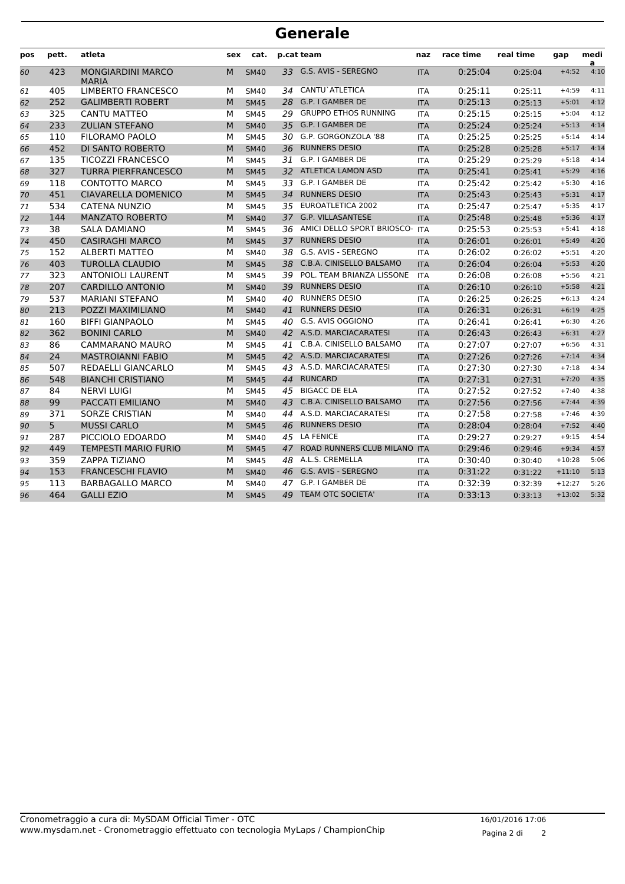|     | <b>Generale</b> |                                          |     |             |    |                                   |            |           |           |          |           |  |  |  |
|-----|-----------------|------------------------------------------|-----|-------------|----|-----------------------------------|------------|-----------|-----------|----------|-----------|--|--|--|
| pos | pett.           | atleta                                   | sex | cat.        |    | p.cat team                        | naz        | race time | real time | gap      | medi      |  |  |  |
| 60  | 423             | <b>MONGIARDINI MARCO</b><br><b>MARIA</b> | M   | <b>SM40</b> | 33 | G.S. AVIS - SEREGNO               | <b>ITA</b> | 0:25:04   | 0:25:04   | $+4:52$  | a<br>4:10 |  |  |  |
| 61  | 405             | LIMBERTO FRANCESCO                       | м   | <b>SM40</b> | 34 | CANTU`ATLETICA                    | <b>ITA</b> | 0:25:11   | 0:25:11   | $+4:59$  | 4:11      |  |  |  |
| 62  | 252             | <b>GALIMBERTI ROBERT</b>                 | M   | <b>SM45</b> |    | 28 G.P. I GAMBER DE               | <b>ITA</b> | 0:25:13   | 0:25:13   | $+5:01$  | 4:12      |  |  |  |
| 63  | 325             | CANTU MATTEO                             | м   | <b>SM45</b> |    | 29 GRUPPO ETHOS RUNNING           | <b>ITA</b> | 0:25:15   | 0:25:15   | $+5:04$  | 4:12      |  |  |  |
| 64  | 233             | <b>ZULIAN STEFANO</b>                    | M   | <b>SM40</b> |    | 35 G.P. I GAMBER DE               | <b>ITA</b> | 0:25:24   | 0:25:24   | $+5:13$  | 4:14      |  |  |  |
| 65  | 110             | <b>FILORAMO PAOLO</b>                    | М   | <b>SM45</b> |    | 30 G.P. GORGONZOLA '88            | <b>ITA</b> | 0:25:25   | 0:25:25   | $+5:14$  | 4:14      |  |  |  |
| 66  | 452             | DI SANTO ROBERTO                         | M   | <b>SM40</b> | 36 | <b>RUNNERS DESIO</b>              | <b>ITA</b> | 0:25:28   | 0:25:28   | $+5:17$  | 4:14      |  |  |  |
| 67  | 135             | <b>TICOZZI FRANCESCO</b>                 | м   | <b>SM45</b> |    | 31 G.P. I GAMBER DE               | <b>ITA</b> | 0:25:29   | 0:25:29   | $+5:18$  | 4:14      |  |  |  |
| 68  | 327             | <b>TURRA PIERFRANCESCO</b>               | M   | <b>SM45</b> |    | 32 ATLETICA LAMON ASD             | <b>ITA</b> | 0:25:41   | 0:25:41   | $+5:29$  | 4:16      |  |  |  |
| 69  | 118             | <b>CONTOTTO MARCO</b>                    | М   | <b>SM45</b> |    | 33 G.P. I GAMBER DE               | <b>ITA</b> | 0:25:42   | 0:25:42   | $+5:30$  | 4:16      |  |  |  |
| 70  | 451             | <b>CIAVARELLA DOMENICO</b>               | м   | <b>SM45</b> | 34 | <b>RUNNERS DESIO</b>              | <b>ITA</b> | 0:25:43   | 0:25:43   | $+5:31$  | 4:17      |  |  |  |
| 71  | 534             | <b>CATENA NUNZIO</b>                     | м   | <b>SM45</b> |    | 35 EUROATLETICA 2002              | <b>ITA</b> | 0:25:47   | 0:25:47   | $+5:35$  | 4:17      |  |  |  |
| 72  | 144             | <b>MANZATO ROBERTO</b>                   | M   | <b>SM40</b> |    | 37 G.P. VILLASANTESE              | <b>ITA</b> | 0:25:48   | 0:25:48   | $+5:36$  | 4:17      |  |  |  |
| 73  | 38              | <b>SALA DAMIANO</b>                      | М   | <b>SM45</b> |    | 36 AMICI DELLO SPORT BRIOSCO- ITA |            | 0:25:53   | 0:25:53   | $+5:41$  | 4:18      |  |  |  |
| 74  | 450             | <b>CASIRAGHI MARCO</b>                   | M   | <b>SM45</b> | 37 | <b>RUNNERS DESIO</b>              | <b>ITA</b> | 0:26:01   | 0:26:01   | $+5:49$  | 4:20      |  |  |  |
| 75  | 152             | <b>ALBERTI MATTEO</b>                    | м   | <b>SM40</b> |    | 38 G.S. AVIS - SEREGNO            | <b>ITA</b> | 0:26:02   | 0:26:02   | $+5:51$  | 4:20      |  |  |  |
| 76  | 403             | <b>TUROLLA CLAUDIO</b>                   | M   | <b>SM45</b> | 38 | C.B.A. CINISELLO BALSAMO          | <b>ITA</b> | 0:26:04   | 0:26:04   | $+5:53$  | 4:20      |  |  |  |
| 77  | 323             | <b>ANTONIOLI LAURENT</b>                 | М   | <b>SM45</b> | 39 | POL. TEAM BRIANZA LISSONE         | <b>ITA</b> | 0:26:08   | 0:26:08   | $+5:56$  | 4:21      |  |  |  |
| 78  | 207             | <b>CARDILLO ANTONIO</b>                  | M   | <b>SM40</b> | 39 | <b>RUNNERS DESIO</b>              | <b>ITA</b> | 0:26:10   | 0:26:10   | $+5:58$  | 4:21      |  |  |  |
| 79  | 537             | <b>MARIANI STEFANO</b>                   | М   | <b>SM40</b> |    | 40 RUNNERS DESIO                  | ITA        | 0:26:25   | 0:26:25   | $+6:13$  | 4:24      |  |  |  |
| 80  | 213             | POZZI MAXIMILIANO                        | M   | <b>SM40</b> | 41 | <b>RUNNERS DESIO</b>              | <b>ITA</b> | 0:26:31   | 0:26:31   | $+6:19$  | 4:25      |  |  |  |
| 81  | 160             | <b>BIFFI GIANPAOLO</b>                   | м   | <b>SM45</b> |    | 40 G.S. AVIS OGGIONO              | <b>ITA</b> | 0:26:41   | 0:26:41   | $+6:30$  | 4:26      |  |  |  |
| 82  | 362             | <b>BONINI CARLO</b>                      | M   | <b>SM40</b> |    | 42 A.S.D. MARCIACARATESI          | <b>ITA</b> | 0:26:43   | 0:26:43   | $+6:31$  | 4:27      |  |  |  |
| 83  | 86              | CAMMARANO MAURO                          | М   | <b>SM45</b> |    | 41 C.B.A. CINISELLO BALSAMO       | <b>ITA</b> | 0:27:07   | 0:27:07   | $+6:56$  | 4:31      |  |  |  |
| 84  | 24              | <b>MASTROIANNI FABIO</b>                 | M   | <b>SM45</b> |    | 42 A.S.D. MARCIACARATESI          | <b>ITA</b> | 0:27:26   | 0:27:26   | $+7:14$  | 4:34      |  |  |  |
| 85  | 507             | REDAELLI GIANCARLO                       | М   | <b>SM45</b> |    | 43 A.S.D. MARCIACARATESI          | <b>ITA</b> | 0:27:30   | 0:27:30   | $+7:18$  | 4:34      |  |  |  |
| 86  | 548             | <b>BIANCHI CRISTIANO</b>                 | M   | <b>SM45</b> | 44 | <b>RUNCARD</b>                    | <b>ITA</b> | 0:27:31   | 0:27:31   | $+7:20$  | 4:35      |  |  |  |
| 87  | 84              | <b>NERVI LUIGI</b>                       | м   | <b>SM45</b> |    | 45 BIGACC DE ELA                  | ITA        | 0:27:52   | 0:27:52   | $+7:40$  | 4:38      |  |  |  |
| 88  | 99              | PACCATI EMILIANO                         | M   | <b>SM40</b> |    | 43 C.B.A. CINISELLO BALSAMO       | <b>ITA</b> | 0:27:56   | 0:27:56   | $+7:44$  | 4:39      |  |  |  |
| 89  | 371             | <b>SORZE CRISTIAN</b>                    | м   | <b>SM40</b> |    | 44 A.S.D. MARCIACARATESI          | <b>ITA</b> | 0:27:58   | 0:27:58   | $+7:46$  | 4:39      |  |  |  |
| 90  | 5               | <b>MUSSI CARLO</b>                       | M   | <b>SM45</b> | 46 | <b>RUNNERS DESIO</b>              | <b>ITA</b> | 0:28:04   | 0:28:04   | $+7:52$  | 4:40      |  |  |  |
| 91  | 287             | PICCIOLO EDOARDO                         | м   | <b>SM40</b> |    | 45 LA FENICE                      | <b>ITA</b> | 0:29:27   | 0:29:27   | $+9:15$  | 4:54      |  |  |  |
| 92  | 449             | <b>TEMPESTI MARIO FURIO</b>              | M   | <b>SM45</b> | 47 | ROAD RUNNERS CLUB MILANO ITA      |            | 0:29:46   | 0:29:46   | $+9:34$  | 4:57      |  |  |  |
| 93  | 359             | <b>ZAPPA TIZIANO</b>                     | М   | <b>SM45</b> | 48 | A.L.S. CREMELLA                   | <b>ITA</b> | 0:30:40   | 0:30:40   | $+10:28$ | 5:06      |  |  |  |
| 94  | 153             | <b>FRANCESCHI FLAVIO</b>                 | M   | <b>SM40</b> | 46 | G.S. AVIS - SEREGNO               | <b>ITA</b> | 0:31:22   | 0:31:22   | $+11:10$ | 5:13      |  |  |  |
| 95  | 113             | <b>BARBAGALLO MARCO</b>                  | м   | <b>SM40</b> | 47 | G.P. I GAMBER DE                  | <b>ITA</b> | 0:32:39   | 0:32:39   | $+12:27$ | 5:26      |  |  |  |
| 96  | 464             | <b>GALLI EZIO</b>                        | M   | <b>SM45</b> | 49 | <b>TEAM OTC SOCIETA'</b>          | <b>ITA</b> | 0:33:13   | 0:33:13   | $+13:02$ | 5:32      |  |  |  |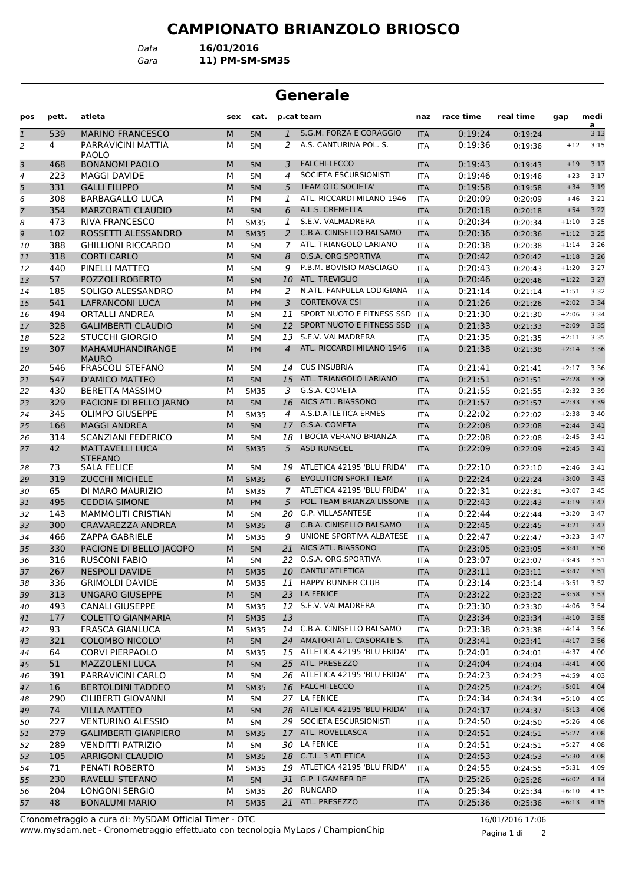*Data* **16/01/2016**

*Gara* **11) PM-SM-SM35**

# **Generale**

| pos            | pett. | atleta                                   | sex | cat.                     |                | p.cat team                    | naz        | race time | real time          | gap     | medi      |
|----------------|-------|------------------------------------------|-----|--------------------------|----------------|-------------------------------|------------|-----------|--------------------|---------|-----------|
| $\overline{1}$ | 539   | <b>MARINO FRANCESCO</b>                  | M   | <b>SM</b>                | $\mathbf{1}$   | S.G.M. FORZA E CORAGGIO       | <b>ITA</b> | 0:19:24   | 0:19:24            |         | a<br>3:13 |
| 2              | 4     | PARRAVICINI MATTIA                       | М   | <b>SM</b>                | 2              | A.S. CANTURINA POL. S.        | <b>ITA</b> | 0:19:36   | 0:19:36            | $+12$   | 3:15      |
|                |       | PAOLO                                    |     |                          |                |                               |            |           |                    |         |           |
| 3              | 468   | <b>BONANOMI PAOLO</b>                    | M   | <b>SM</b>                | 3              | <b>FALCHI-LECCO</b>           | <b>ITA</b> | 0:19:43   | 0:19:43            | $+19$   | 3:17      |
| 4              | 223   | <b>MAGGI DAVIDE</b>                      | М   | <b>SM</b>                | 4              | SOCIETA ESCURSIONISTI         | <b>ITA</b> | 0:19:46   | 0:19:46            | $+23$   | 3:17      |
| 5              | 331   | <b>GALLI FILIPPO</b>                     | M   | <b>SM</b>                | 5              | <b>TEAM OTC SOCIETA'</b>      | <b>ITA</b> | 0:19:58   | 0:19:58            | $+34$   | 3:19      |
| 6              | 308   | <b>BARBAGALLO LUCA</b>                   | М   | <b>PM</b>                | 1              | ATL. RICCARDI MILANO 1946     | <b>ITA</b> | 0:20:09   | 0:20:09            | $+46$   | 3:21      |
| $\overline{7}$ | 354   | <b>MARZORATI CLAUDIO</b>                 | M   | <b>SM</b>                | 6              | A.L.S. CREMELLA               | <b>ITA</b> | 0:20:18   | 0:20:18            | $+54$   | 3:22      |
| 8              | 473   | RIVA FRANCESCO                           | м   | <b>SM35</b>              | 1              | S.E.V. VALMADRERA             | <b>ITA</b> | 0:20:34   | 0:20:34            | $+1:10$ | 3:25      |
| 9              | 102   | ROSSETTI ALESSANDRO                      | M   | <b>SM35</b>              | 2              | C.B.A. CINISELLO BALSAMO      | <b>ITA</b> | 0:20:36   | 0:20:36            | $+1:12$ | 3:25      |
| 10             | 388   | <b>GHILLIONI RICCARDO</b>                | М   | <b>SM</b>                | 7              | ATL. TRIANGOLO LARIANO        | <b>ITA</b> | 0:20:38   | 0:20:38            | $+1:14$ | 3:26      |
| 11             | 318   | <b>CORTI CARLO</b>                       | M   | <b>SM</b>                | 8              | O.S.A. ORG.SPORTIVA           | <b>ITA</b> | 0:20:42   | 0:20:42            | $+1:18$ | 3:26      |
| 12             | 440   | PINELLI MATTEO                           | M   | <b>SM</b>                | 9              | P.B.M. BOVISIO MASCIAGO       | ITA        | 0:20:43   | 0:20:43            | $+1:20$ | 3:27      |
| 13             | 57    | POZZOLI ROBERTO                          | M   | <b>SM</b>                | 10             | <b>ATL. TREVIGLIO</b>         | <b>ITA</b> | 0:20:46   | 0:20:46            | $+1:22$ | 3:27      |
| 14             | 185   | SOLIGO ALESSANDRO                        | М   | <b>PM</b>                | 2              | N.ATL. FANFULLA LODIGIANA     | <b>ITA</b> | 0:21:14   | 0:21:14            | $+1:51$ | 3:32      |
| 15             | 541   | <b>LAFRANCONI LUCA</b>                   | M   | <b>PM</b>                | 3              | <b>CORTENOVA CSI</b>          | <b>ITA</b> | 0:21:26   | 0:21:26            | $+2:02$ | 3:34      |
| 16             | 494   | ORTALLI ANDREA                           | М   | <b>SM</b>                | 11             | SPORT NUOTO E FITNESS SSD     | <b>ITA</b> | 0:21:30   | 0:21:30            | $+2:06$ | 3:34      |
| 17             | 328   | <b>GALIMBERTI CLAUDIO</b>                | M   | <b>SM</b>                |                | 12 SPORT NUOTO E FITNESS SSD  | <b>ITA</b> | 0:21:33   | 0:21:33            | $+2:09$ | 3:35      |
| 18             | 522   | <b>STUCCHI GIORGIO</b>                   | M   | <b>SM</b>                | 13             | S.E.V. VALMADRERA             | ITA        | 0:21:35   | 0:21:35            | $+2:11$ | 3:35      |
| 19             | 307   | MAHAMUHANDIRANGE                         | M   | PM                       | $\overline{4}$ | ATL. RICCARDI MILANO 1946     | <b>ITA</b> | 0:21:38   | 0:21:38            | $+2:14$ | 3:36      |
| 20             | 546   | <b>MAURO</b><br><b>FRASCOLI STEFANO</b>  | М   | <b>SM</b>                | 14             | <b>CUS INSUBRIA</b>           | ITA        | 0:21:41   | 0:21:41            | $+2:17$ | 3:36      |
| 21             | 547   | <b>D'AMICO MATTEO</b>                    | M   | <b>SM</b>                | 15             | ATL. TRIANGOLO LARIANO        | <b>ITA</b> | 0:21:51   | 0:21:51            | $+2:28$ | 3:38      |
|                | 430   | <b>BERETTA MASSIMO</b>                   | м   |                          | 3              | G.S.A. COMETA                 |            | 0:21:55   |                    | $+2:32$ | 3:39      |
| 22             | 329   | PACIONE DI BELLO JARNO                   | M   | <b>SM35</b>              |                | 16 AICS ATL. BIASSONO         | <b>ITA</b> | 0:21:57   | 0:21:55            | $+2:33$ | 3:39      |
| 23             | 345   | <b>OLIMPO GIUSEPPE</b>                   | М   | <b>SM</b><br><b>SM35</b> | $\overline{4}$ | A.S.D.ATLETICA ERMES          | <b>ITA</b> | 0:22:02   | 0:21:57            | $+2:38$ | 3:40      |
| 24             | 168   | <b>MAGGI ANDREA</b>                      | M   |                          | 17             | G.S.A. COMETA                 | <b>ITA</b> | 0:22:08   | 0:22:02            | $+2:44$ | 3:41      |
| 25             |       |                                          |     | <b>SM</b>                |                | I BOCIA VERANO BRIANZA        | <b>ITA</b> |           | 0:22:08            | $+2:45$ | 3:41      |
| 26             | 314   | SCANZIANI FEDERICO                       | М   | <b>SM</b>                | 18             |                               | <b>ITA</b> | 0:22:08   | 0:22:08            |         |           |
| 27             | 42    | <b>MATTAVELLI LUCA</b><br><b>STEFANO</b> | M   | <b>SM35</b>              | 5              | <b>ASD RUNSCEL</b>            | <b>ITA</b> | 0:22:09   | 0:22:09            | $+2:45$ | 3:41      |
| 28             | 73    | <b>SALA FELICE</b>                       | м   | <b>SM</b>                | 19             | ATLETICA 42195 'BLU FRIDA'    | <b>ITA</b> | 0:22:10   | 0:22:10            | $+2:46$ | 3:41      |
| 29             | 319   | <b>ZUCCHI MICHELE</b>                    | M   | <b>SM35</b>              | 6              | <b>EVOLUTION SPORT TEAM</b>   | <b>ITA</b> | 0:22:24   | 0:22:24            | $+3:00$ | 3:43      |
| 30             | 65    | DI MARO MAURIZIO                         | М   | <b>SM35</b>              | $\overline{7}$ | ATLETICA 42195 'BLU FRIDA'    | <b>ITA</b> | 0:22:31   | 0:22:31            | $+3:07$ | 3:45      |
| 31             | 495   | <b>CEDDIA SIMONE</b>                     | M   | <b>PM</b>                | 5              | POL. TEAM BRIANZA LISSONE     | <b>ITA</b> | 0:22:43   | 0:22:43            | $+3:19$ | 3:47      |
| 32             | 143   | <b>MAMMOLITI CRISTIAN</b>                | М   | <b>SM</b>                | 20             | <b>G.P. VILLASANTESE</b>      | ITA        | 0:22:44   | 0:22:44            | $+3:20$ | 3:47      |
| 33             | 300   | CRAVAREZZA ANDREA                        | M   | <b>SM35</b>              | 8              | C.B.A. CINISELLO BALSAMO      | <b>ITA</b> | 0:22:45   | 0:22:45            | $+3:21$ | 3:47      |
| 34             | 466   | <b>ZAPPA GABRIELE</b>                    | м   | <b>SM35</b>              | 9              | UNIONE SPORTIVA ALBATESE      | <b>ITA</b> | 0:22:47   | 0:22:47            | $+3:23$ | 3:47      |
| 35             | 330   | PACIONE DI BELLO JACOPO                  | M   | <b>SM</b>                | 21             | AICS ATL. BIASSONO            | <b>ITA</b> | 0:23:05   | 0:23:05            | $+3:41$ | 3:50      |
| 36             | 316   | <b>RUSCONI FABIO</b>                     | М   | <b>SM</b>                | 22             | O.S.A. ORG.SPORTIVA           | <b>ITA</b> | 0:23:07   | 0:23:07            | $+3:43$ | 3:51      |
| 37             | 267   | <b>NESPOLI DAVIDE</b>                    | M   | <b>SM35</b>              | 10             | <b>CANTU</b> ATLETICA         | <b>ITA</b> | 0:23:11   | 0:23:11            | $+3:47$ | 3:51      |
| 38             | 336   | <b>GRIMOLDI DAVIDE</b>                   | м   | <b>SM35</b>              |                | 11 HAPPY RUNNER CLUB          | ITA        | 0:23:14   | 0:23:14            | $+3:51$ | 3:52      |
| 39             | 313   | <b>UNGARO GIUSEPPE</b>                   | M   | <b>SM</b>                |                | 23 LA FENICE                  | <b>ITA</b> | 0:23:22   | 0:23:22            | $+3:58$ | 3:53      |
| 40             | 493   | <b>CANALI GIUSEPPE</b>                   | М   | <b>SM35</b>              |                | 12 S.E.V. VALMADRERA          | ITA        | 0:23:30   | 0:23:30            | $+4:06$ | 3:54      |
| 41             | 177   | <b>COLETTO GIANMARIA</b>                 | M   | <b>SM35</b>              | 13             |                               | <b>ITA</b> | 0:23:34   | 0:23:34            | $+4:10$ | 3:55      |
| 42             | 93    | <b>FRASCA GIANLUCA</b>                   | м   | <b>SM35</b>              |                | 14 C.B.A. CINISELLO BALSAMO   | ITA        | 0:23:38   | 0:23:38            | $+4:14$ | 3:56      |
| 43             | 321   | <b>COLOMBO NICOLO'</b>                   | M   | SM                       |                | 24 AMATORI ATL. CASORATE S.   | <b>ITA</b> | 0:23:41   | 0:23:41            | $+4:17$ | 3:56      |
| 44             | 64    | <b>CORVI PIERPAOLO</b>                   | м   | <b>SM35</b>              |                | 15 ATLETICA 42195 'BLU FRIDA' | ITA        | 0:24:01   | 0:24:01            | $+4:37$ | 4:00      |
| 45             | 51    | <b>MAZZOLENI LUCA</b>                    | M   | <b>SM</b>                |                | 25 ATL. PRESEZZO              | <b>ITA</b> | 0:24:04   | 0:24:04            | $+4:41$ | 4:00      |
| 46             | 391   | PARRAVICINI CARLO                        | м   | SM                       |                | 26 ATLETICA 42195 'BLU FRIDA' | ITA        | 0:24:23   | 0:24:23            | $+4:59$ | 4:03      |
| 47             | 16    | <b>BERTOLDINI TADDEO</b>                 | M   | <b>SM35</b>              |                | 16 FALCHI-LECCO               | <b>ITA</b> | 0:24:25   | 0:24:25            | $+5:01$ | 4:04      |
| 48             | 290   | CILIBERTI GIOVANNI                       | м   | SM                       |                | 27 LA FENICE                  | ITA        | 0:24:34   | 0:24:34            | $+5:10$ | 4:05      |
| 49             | 74    | <b>VILLA MATTEO</b>                      | M   | SM                       |                | 28 ATLETICA 42195 'BLU FRIDA' | <b>ITA</b> | 0:24:37   | 0:24:37            | $+5:13$ | 4:06      |
| 50             | 227   | <b>VENTURINO ALESSIO</b>                 | м   | SM                       |                | 29 SOCIETA ESCURSIONISTI      | ITA        | 0:24:50   | 0:24:50            | $+5:26$ | 4:08      |
| 51             | 279   | <b>GALIMBERTI GIANPIERO</b>              | M   | <b>SM35</b>              |                | 17 ATL. ROVELLASCA            | <b>ITA</b> | 0:24:51   | 0:24:51            | $+5:27$ | 4:08      |
| 52             | 289   | <b>VENDITTI PATRIZIO</b>                 | М   | SM                       |                | 30 LA FENICE                  | ITA        | 0:24:51   | 0:24:51            | $+5:27$ | 4:08      |
| 53             | 105   | ARRIGONI CLAUDIO                         | M   | <b>SM35</b>              |                | 18 C.T.L. 3 ATLETICA          | <b>ITA</b> | 0:24:53   | 0:24:53            | $+5:30$ | 4:08      |
| 54             | 71    | PENATI ROBERTO                           | м   | <b>SM35</b>              |                | 19 ATLETICA 42195 'BLU FRIDA' | ITA        | 0:24:55   | 0:24:55            | $+5:31$ | 4:09      |
| 55             | 230   | RAVELLI STEFANO                          | M   | SM                       |                | 31 G.P. I GAMBER DE           |            | 0:25:26   |                    | $+6:02$ | 4:14      |
|                | 204   | LONGONI SERGIO                           | м   | <b>SM35</b>              |                | 20 RUNCARD                    | <b>ITA</b> | 0:25:34   | 0:25:26<br>0:25:34 | $+6:10$ | 4:15      |
| 56<br>57       | 48    | <b>BONALUMI MARIO</b>                    | M   | <b>SM35</b>              |                | 21 ATL. PRESEZZO              | ITA        |           |                    | $+6:13$ | 4:15      |
|                |       |                                          |     |                          |                |                               | <b>ITA</b> | 0:25:36   | 0:25:36            |         |           |

www.mysdam.net - Cronometraggio effettuato con tecnologia MyLaps / ChampionChip Cronometraggio a cura di: MySDAM Official Timer - OTC 16/01/2016 17:06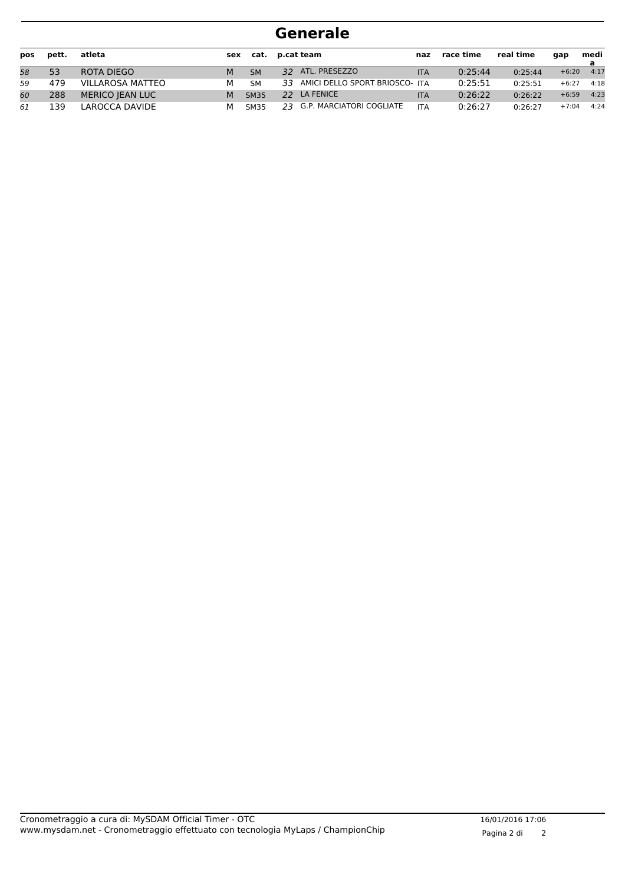| pos | pett. | atleta                  | sex |             | cat. p.cat team                   | naz        | race time | real time | qap     | medi |
|-----|-------|-------------------------|-----|-------------|-----------------------------------|------------|-----------|-----------|---------|------|
| 58  | 53    | ROTA DIEGO              | M   | <b>SM</b>   | 32 ATL. PRESEZZO                  | <b>ITA</b> | 0:25:44   | 0:25:44   | $+6:20$ | 4:17 |
| 59  | 479   | <b>VILLAROSA MATTEO</b> | М   | <b>SM</b>   | 33 AMICI DELLO SPORT BRIOSCO- ITA |            | 0:25:51   | 0:25:51   | $+6:27$ | 4:18 |
| 60  | 288   | <b>MERICO JEAN LUC</b>  | M   | <b>SM35</b> | 22 LA FENICE                      | <b>ITA</b> | 0:26:22   | 0:26:22   | $+6:59$ | 4:23 |
| 61  | l 39  | LAROCCA DAVIDE          | м   | SM35        | 23 G.P. MARCIATORI COGLIATE       | <b>ITA</b> | 0:26:27   | 0:26:27   | $+7:04$ | 4:24 |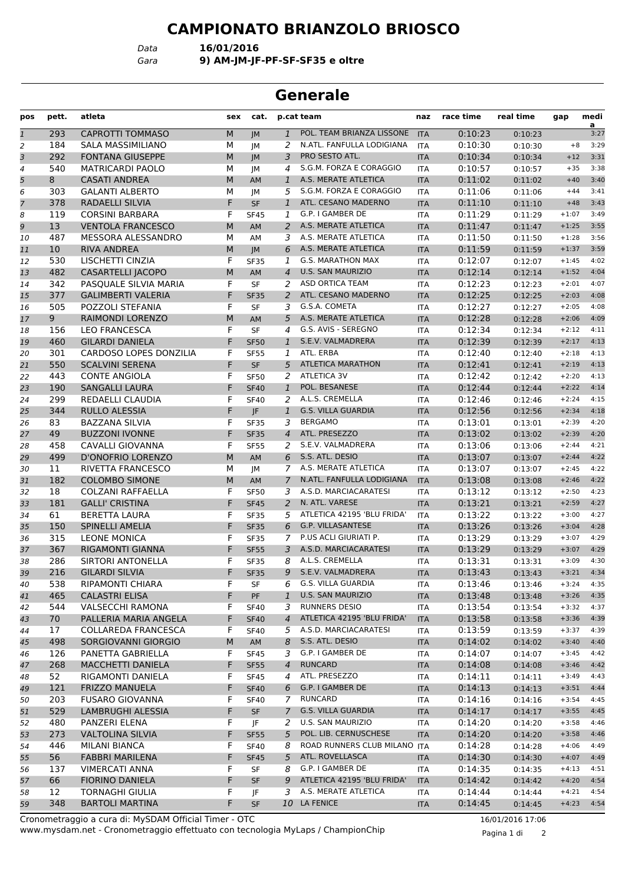*Data* **16/01/2016**

*Gara* **9) AM-JM-JF-PF-SF-SF35 e oltre**

#### **Generale**

| pos          | pett.           | atleta                        | sex | cat.        |                | p.cat team                   | naz        | race time | real time | gap     | medi<br>a |
|--------------|-----------------|-------------------------------|-----|-------------|----------------|------------------------------|------------|-----------|-----------|---------|-----------|
| $\mathbf{1}$ | 293             | <b>CAPROTTI TOMMASO</b>       | M   | JM          | $\mathbf{1}$   | POL. TEAM BRIANZA LISSONE    | <b>ITA</b> | 0:10:23   | 0:10:23   |         | 3:27      |
| 2            | 184             | <b>SALA MASSIMILIANO</b>      | М   | JМ          | 2              | N.ATL. FANFULLA LODIGIANA    | <b>ITA</b> | 0:10:30   | 0:10:30   | $+8$    | 3:29      |
| 3            | 292             | <b>FONTANA GIUSEPPE</b>       | M   | IM          | 3              | PRO SESTO ATL.               | <b>ITA</b> | 0:10:34   | 0:10:34   | $+12$   | 3:31      |
| 4            | 540             | <b>MATRICARDI PAOLO</b>       | М   | JM          | 4              | S.G.M. FORZA E CORAGGIO      | <b>ITA</b> | 0:10:57   | 0:10:57   | $+35$   | 3:38      |
| 5            | 8               | <b>CASATI ANDREA</b>          | M   | AM          | $\mathbf{1}$   | A.S. MERATE ATLETICA         | <b>ITA</b> | 0:11:02   | 0:11:02   | $+40$   | 3:40      |
| 6            | 303             | <b>GALANTI ALBERTO</b>        | М   | <b>JM</b>   | 5              | S.G.M. FORZA E CORAGGIO      | <b>ITA</b> | 0:11:06   | 0:11:06   | $+44$   | 3:41      |
| 7            | 378             | <b>RADAELLI SILVIA</b>        | F   | <b>SF</b>   | $\mathbf{1}$   | ATL. CESANO MADERNO          | <b>ITA</b> | 0:11:10   | 0:11:10   | $+48$   | 3:43      |
| 8            | 119             | <b>CORSINI BARBARA</b>        | F   | <b>SF45</b> | 1              | G.P. I GAMBER DE             | <b>ITA</b> | 0:11:29   | 0:11:29   | $+1:07$ | 3:49      |
| 9            | 13              | <b>VENTOLA FRANCESCO</b>      | M   | <b>AM</b>   | 2              | A.S. MERATE ATLETICA         | <b>ITA</b> | 0:11:47   | 0:11:47   | $+1:25$ | 3:55      |
| 10           | 487             | MESSORA ALESSANDRO            | М   | AM          | 3              | A.S. MERATE ATLETICA         | <b>ITA</b> | 0:11:50   | 0:11:50   | $+1:28$ | 3:56      |
| 11           | 10 <sup>°</sup> | <b>RIVA ANDREA</b>            | M   | IM          | 6              | A.S. MERATE ATLETICA         | <b>ITA</b> | 0:11:59   | 0:11:59   | $+1:37$ | 3:59      |
| 12           | 530             | LISCHETTI CINZIA              | F   | <b>SF35</b> | 1              | <b>G.S. MARATHON MAX</b>     | <b>ITA</b> | 0:12:07   | 0:12:07   | $+1:45$ | 4:02      |
| 13           | 482             | <b>CASARTELLI JACOPO</b>      | M   | AM          | $\overline{4}$ | <b>U.S. SAN MAURIZIO</b>     | <b>ITA</b> | 0:12:14   | 0:12:14   | $+1:52$ | 4:04      |
| 14           | 342             | PASQUALE SILVIA MARIA         | F   | <b>SF</b>   | 2              | <b>ASD ORTICA TEAM</b>       | <b>ITA</b> | 0:12:23   | 0:12:23   | $+2:01$ | 4:07      |
| 15           | 377             | <b>GALIMBERTI VALERIA</b>     | F   | <b>SF35</b> | 2              | ATL. CESANO MADERNO          | <b>ITA</b> | 0:12:25   | 0:12:25   | $+2:03$ | 4:08      |
| 16           | 505             | POZZOLI STEFANIA              | F   | <b>SF</b>   | 3              | G.S.A. COMETA                | <b>ITA</b> | 0:12:27   | 0:12:27   | $+2:05$ | 4:08      |
| 17           | 9               | RAIMONDI LORENZO              | M   | AM          | 5              | A.S. MERATE ATLETICA         | <b>ITA</b> | 0:12:28   | 0:12:28   | $+2:06$ | 4:09      |
| 18           | 156             | <b>LEO FRANCESCA</b>          | F   | <b>SF</b>   | 4              | G.S. AVIS - SEREGNO          | <b>ITA</b> | 0:12:34   | 0:12:34   | $+2:12$ | 4:11      |
| 19           | 460             | <b>GILARDI DANIELA</b>        | F   | <b>SF50</b> | 1              | S.E.V. VALMADRERA            | <b>ITA</b> | 0:12:39   | 0:12:39   | $+2:17$ | 4:13      |
| 20           | 301             | <b>CARDOSO LOPES DONZILIA</b> | F   | <b>SF55</b> | 1              | ATL. ERBA                    | <b>ITA</b> | 0:12:40   | 0:12:40   | $+2:18$ | 4:13      |
| 21           | 550             | <b>SCALVINI SERENA</b>        | F   | <b>SF</b>   | 5              | <b>ATLETICA MARATHON</b>     | <b>ITA</b> | 0:12:41   | 0:12:41   | $+2:19$ | 4:13      |
| 22           | 443             | <b>CONTE ANGIOLA</b>          | F   | <b>SF50</b> | 2              | <b>ATLETICA 3V</b>           | <b>ITA</b> | 0:12:42   | 0:12:42   | $+2:20$ | 4:13      |
| 23           | 190             | <b>SANGALLI LAURA</b>         | F   | <b>SF40</b> | $\mathbf{1}$   | POL. BESANESE                | <b>ITA</b> | 0:12:44   | 0:12:44   | $+2:22$ | 4:14      |
| 24           | 299             | <b>REDAELLI CLAUDIA</b>       | F   | <b>SF40</b> | 2              | A.L.S. CREMELLA              | <b>ITA</b> | 0:12:46   | 0:12:46   | $+2:24$ | 4:15      |
| 25           | 344             | <b>RULLO ALESSIA</b>          | F   | JF          | $\mathbf{1}$   | <b>G.S. VILLA GUARDIA</b>    | <b>ITA</b> | 0:12:56   | 0:12:56   | $+2:34$ | 4:18      |
| 26           | 83              | <b>BAZZANA SILVIA</b>         | F   | <b>SF35</b> | 3              | <b>BERGAMO</b>               | <b>ITA</b> | 0:13:01   | 0:13:01   | $+2:39$ | 4:20      |
| 27           | 49              | <b>BUZZONI IVONNE</b>         | F   | <b>SF35</b> | $\overline{4}$ | ATL. PRESEZZO                | <b>ITA</b> | 0:13:02   | 0:13:02   | $+2:39$ | 4:20      |
| 28           | 458             | <b>CAVALLI GIOVANNA</b>       | F   | <b>SF55</b> | 2              | S.E.V. VALMADRERA            | <b>ITA</b> | 0:13:06   | 0:13:06   | $+2:44$ | 4:21      |
| 29           | 499             | D'ONOFRIO LORENZO             | M   | AM          | 6              | S.S. ATL. DESIO              | <b>ITA</b> | 0:13:07   | 0:13:07   | $+2:44$ | 4:22      |
| 30           | 11              | <b>RIVETTA FRANCESCO</b>      | М   | JМ          | 7              | A.S. MERATE ATLETICA         | <b>ITA</b> | 0:13:07   | 0:13:07   | $+2:45$ | 4:22      |
| 31           | 182             | <b>COLOMBO SIMONE</b>         | M   | AM          | 7              | N.ATL. FANFULLA LODIGIANA    | <b>ITA</b> | 0:13:08   | 0:13:08   | $+2:46$ | 4:22      |
| 32           | 18              | <b>COLZANI RAFFAELLA</b>      | F   | <b>SF50</b> | 3              | A.S.D. MARCIACARATESI        | <b>ITA</b> | 0:13:12   | 0:13:12   | $+2:50$ | 4:23      |
| 33           | 181             | <b>GALLI' CRISTINA</b>        | F   | <b>SF45</b> | 2              | N. ATL. VARESE               | <b>ITA</b> | 0:13:21   | 0:13:21   | $+2:59$ | 4:27      |
| 34           | 61              | <b>BERETTA LAURA</b>          | F   | <b>SF35</b> | 5              | ATLETICA 42195 'BLU FRIDA'   | <b>ITA</b> | 0:13:22   | 0:13:22   | $+3:00$ | 4:27      |
| 35           | 150             | <b>SPINELLI AMELIA</b>        | F   | <b>SF35</b> | 6              | <b>G.P. VILLASANTESE</b>     | <b>ITA</b> | 0:13:26   | 0:13:26   | $+3:04$ | 4:28      |
| 36           | 315             | <b>LEONE MONICA</b>           | F   | <b>SF35</b> | 7              | P.US ACLI GIURIATI P.        | <b>ITA</b> | 0:13:29   | 0:13:29   | $+3:07$ | 4:29      |
| 37           | 367             | <b>RIGAMONTI GIANNA</b>       | F   | <b>SF55</b> | 3              | A.S.D. MARCIACARATESI        | <b>ITA</b> | 0:13:29   | 0:13:29   | $+3:07$ | 4:29      |
| 38           | 286             | <b>SIRTORI ANTONELLA</b>      | F   | <b>SF35</b> | 8              | A.L.S. CREMELLA              | <b>ITA</b> | 0:13:31   | 0:13:31   | $+3:09$ | 4:30      |
| 39           | 216             | <b>GILARDI SILVIA</b>         | F   | <b>SF35</b> | 9              | S.E.V. VALMADRERA            | <b>ITA</b> | 0:13:43   | 0:13:43   | $+3:21$ | 4:34      |
| 40           | 538             | RIPAMONTI CHIARA              | F   | SF          | 6              | <b>G.S. VILLA GUARDIA</b>    | ITA        | 0:13:46   | 0:13:46   | $+3:24$ | 4:35      |
| 41           | 465             | <b>CALASTRI ELISA</b>         | F   | PF          | $\mathbf{1}$   | <b>U.S. SAN MAURIZIO</b>     | <b>ITA</b> | 0:13:48   | 0:13:48   | $+3:26$ | 4:35      |
| 42           | 544             | <b>VALSECCHI RAMONA</b>       | F   | <b>SF40</b> | 3              | <b>RUNNERS DESIO</b>         | <b>ITA</b> | 0:13:54   | 0:13:54   | $+3:32$ | 4:37      |
| 43           | 70              | PALLERIA MARIA ANGELA         | F   | <b>SF40</b> | $\overline{4}$ | ATLETICA 42195 'BLU FRIDA'   | <b>ITA</b> | 0:13:58   | 0:13:58   | $+3:36$ | 4:39      |
| 44           | 17              | <b>COLLAREDA FRANCESCA</b>    | F   | <b>SF40</b> | 5              | A.S.D. MARCIACARATESI        | ITA        | 0:13:59   | 0:13:59   | $+3:37$ | 4:39      |
| 45           | 498             | SORGIOVANNI GIORGIO           | М   | AM          | 8              | S.S. ATL. DESIO              | <b>ITA</b> | 0:14:02   | 0:14:02   | $+3:40$ | 4:40      |
| 46           | 126             | PANETTA GABRIELLA             | F   | <b>SF45</b> | 3              | G.P. I GAMBER DE             | ITA        | 0:14:07   | 0:14:07   | $+3:45$ | 4:42      |
| 47           | 268             | MACCHETTI DANIELA             | F   | <b>SF55</b> | $\overline{4}$ | <b>RUNCARD</b>               | <b>ITA</b> | 0:14:08   | 0:14:08   | $+3:46$ | 4:42      |
| 48           | 52              | RIGAMONTI DANIELA             | F   | <b>SF45</b> | 4              | ATL. PRESEZZO                | ITA        | 0:14:11   | 0:14:11   | $+3:49$ | 4:43      |
| 49           | 121             | <b>FRIZZO MANUELA</b>         | F   | <b>SF40</b> | 6              | G.P. I GAMBER DE             | <b>ITA</b> | 0:14:13   | 0:14:13   | $+3:51$ | 4:44      |
| 50           | 203             | FUSARO GIOVANNA               | F   | <b>SF40</b> | 7              | <b>RUNCARD</b>               | ITA        | 0:14:16   | 0:14:16   | $+3:54$ | 4:45      |
| 51           | 529             | LAMBRUGHI ALESSIA             | F   | <b>SF</b>   | 7              | <b>G.S. VILLA GUARDIA</b>    | <b>ITA</b> | 0:14:17   | 0:14:17   | $+3:55$ | 4:45      |
| 52           | 480             | PANZERI ELENA                 | F   | JF          | 2              | U.S. SAN MAURIZIO            | ITA        | 0:14:20   | 0:14:20   | $+3:58$ | 4:46      |
| 53           | 273             | <b>VALTOLINA SILVIA</b>       | F   | <b>SF55</b> | 5 <sup>5</sup> | POL. LIB. CERNUSCHESE        | <b>ITA</b> | 0:14:20   | 0:14:20   | $+3:58$ | 4:46      |
| 54           | 446             | MILANI BIANCA                 | F   | <b>SF40</b> | 8              | ROAD RUNNERS CLUB MILANO ITA |            | 0:14:28   | 0:14:28   | $+4:06$ | 4:49      |
| 55           | 56              | <b>FABBRI MARILENA</b>        | F   | <b>SF45</b> | 5              | ATL. ROVELLASCA              | <b>ITA</b> | 0:14:30   | 0:14:30   | $+4:07$ | 4:49      |
| 56           | 137             | <b>VIMERCATI ANNA</b>         | F   | SF          | 8              | G.P. I GAMBER DE             | ITA        | 0:14:35   | 0:14:35   | $+4:13$ | 4:51      |
| 57           | 66              | <b>FIORINO DANIELA</b>        | F.  | <b>SF</b>   | 9              | ATLETICA 42195 'BLU FRIDA'   | <b>ITA</b> | 0:14:42   | 0:14:42   | $+4:20$ | 4:54      |
| 58           | 12              | <b>TORNAGHI GIULIA</b>        | F   | JF          | 3              | A.S. MERATE ATLETICA         | ITA        | 0:14:44   | 0:14:44   | $+4:21$ | 4:54      |
| 59           | 348             | <b>BARTOLI MARTINA</b>        | F   | <b>SF</b>   |                | 10 LA FENICE                 | <b>ITA</b> | 0:14:45   | 0:14:45   | $+4:23$ | 4:54      |

www.mysdam.net - Cronometraggio effettuato con tecnologia MyLaps / ChampionChip Cronometraggio a cura di: MySDAM Official Timer - OTC 16/01/2016 17:06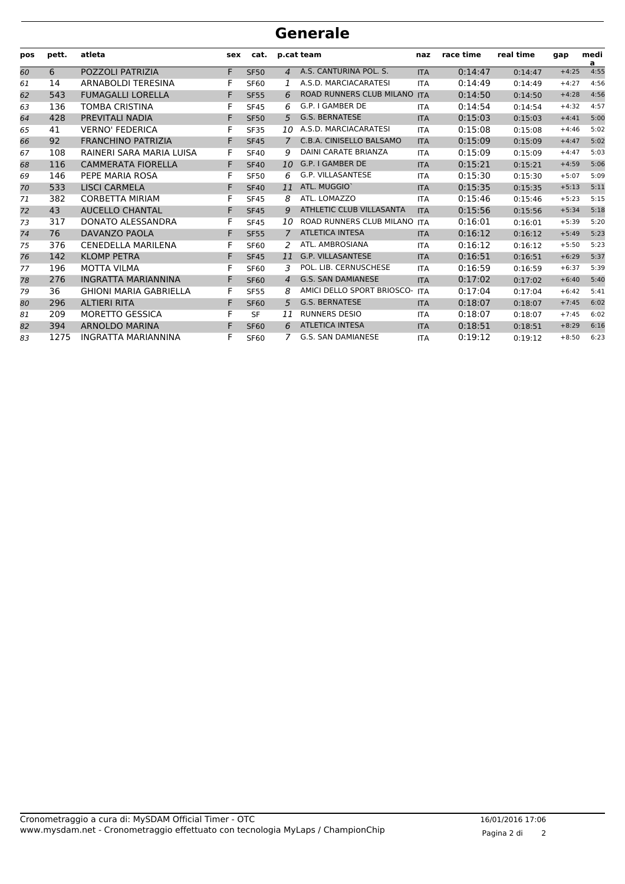| pos | pett. | atleta                        | sex | cat.        |                | p.cat team                      | naz        | race time | real time | gap     | medi<br>a |
|-----|-------|-------------------------------|-----|-------------|----------------|---------------------------------|------------|-----------|-----------|---------|-----------|
| 60  | 6     | POZZOLI PATRIZIA              | F   | <b>SF50</b> | $\overline{4}$ | A.S. CANTURINA POL. S.          | <b>ITA</b> | 0:14:47   | 0:14:47   | $+4:25$ | 4:55      |
| 61  | 14    | <b>ARNABOLDI TERESINA</b>     | F   | <b>SF60</b> |                | A.S.D. MARCIACARATESI           | <b>ITA</b> | 0:14:49   | 0:14:49   | $+4:27$ | 4:56      |
| 62  | 543   | <b>FUMAGALLI LORELLA</b>      | F   | <b>SF55</b> | 6              | <b>ROAD RUNNERS CLUB MILANO</b> | <b>ITA</b> | 0:14:50   | 0:14:50   | $+4:28$ | 4:56      |
| 63  | 136   | <b>TOMBA CRISTINA</b>         | F   | <b>SF45</b> | 6              | G.P. I GAMBER DE                | <b>ITA</b> | 0:14:54   | 0:14:54   | $+4:32$ | 4:57      |
| 64  | 428   | PREVITALI NADIA               | F   | <b>SF50</b> | 5              | <b>G.S. BERNATESE</b>           | <b>ITA</b> | 0:15:03   | 0:15:03   | $+4:41$ | 5:00      |
| 65  | 41    | <b>VERNO' FEDERICA</b>        | F   | <b>SF35</b> | 10             | A.S.D. MARCIACARATESI           | <b>ITA</b> | 0:15:08   | 0:15:08   | $+4:46$ | 5:02      |
| 66  | 92    | <b>FRANCHINO PATRIZIA</b>     | F   | <b>SF45</b> | $\mathcal{L}$  | C.B.A. CINISELLO BALSAMO        | <b>ITA</b> | 0:15:09   | 0:15:09   | $+4:47$ | 5:02      |
| 67  | 108   | RAINERI SARA MARIA LUISA      | F   | <b>SF40</b> | 9              | <b>DAINI CARATE BRIANZA</b>     | ITA        | 0:15:09   | 0:15:09   | $+4:47$ | 5:03      |
| 68  | 116   | <b>CAMMERATA FIORELLA</b>     | F   | <b>SF40</b> | 10             | G.P. I GAMBER DE                | <b>ITA</b> | 0:15:21   | 0:15:21   | $+4:59$ | 5:06      |
| 69  | 146   | PEPE MARIA ROSA               |     | <b>SF50</b> | 6              | <b>G.P. VILLASANTESE</b>        | <b>ITA</b> | 0:15:30   | 0:15:30   | $+5:07$ | 5:09      |
| 70  | 533   | <b>LISCI CARMELA</b>          | F   | <b>SF40</b> | 11             | ATL. MUGGIO'                    | <b>ITA</b> | 0:15:35   | 0:15:35   | $+5:13$ | 5:11      |
| 71  | 382   | <b>CORBETTA MIRIAM</b>        | F   | <b>SF45</b> | 8              | ATL. LOMAZZO                    | <b>ITA</b> | 0:15:46   | 0:15:46   | $+5:23$ | 5:15      |
| 72  | 43    | <b>AUCELLO CHANTAL</b>        | F   | <b>SF45</b> | 9              | ATHLETIC CLUB VILLASANTA        | <b>ITA</b> | 0:15:56   | 0:15:56   | $+5:34$ | 5:18      |
| 73  | 317   | DONATO ALESSANDRA             |     | <b>SF45</b> | 10             | ROAD RUNNERS CLUB MILANO        | <b>ITA</b> | 0:16:01   | 0:16:01   | $+5:39$ | 5:20      |
| 74  | 76    | DAVANZO PAOLA                 | F   | <b>SF55</b> | 7              | <b>ATLETICA INTESA</b>          | <b>ITA</b> | 0:16:12   | 0:16:12   | $+5:49$ | 5:23      |
| 75  | 376   | <b>CENEDELLA MARILENA</b>     |     | <b>SF60</b> | 2              | ATL. AMBROSIANA                 | <b>ITA</b> | 0:16:12   | 0:16:12   | $+5:50$ | 5:23      |
| 76  | 142   | <b>KLOMP PETRA</b>            | F   | <b>SF45</b> | 11             | <b>G.P. VILLASANTESE</b>        | <b>ITA</b> | 0:16:51   | 0:16:51   | $+6:29$ | 5:37      |
| 77  | 196   | <b>MOTTA VILMA</b>            |     | <b>SF60</b> | 3              | POL. LIB. CERNUSCHESE           | <b>ITA</b> | 0:16:59   | 0:16:59   | $+6:37$ | 5:39      |
| 78  | 276   | <b>INGRATTA MARIANNINA</b>    |     | <b>SF60</b> | $\overline{4}$ | <b>G.S. SAN DAMIANESE</b>       | <b>ITA</b> | 0:17:02   | 0:17:02   | $+6:40$ | 5:40      |
| 79  | 36    | <b>GHIONI MARIA GABRIELLA</b> | F   | <b>SF55</b> | 8              | AMICI DELLO SPORT BRIOSCO-      | <b>ITA</b> | 0:17:04   | 0:17:04   | $+6:42$ | 5:41      |
| 80  | 296   | <b>ALTIERI RITA</b>           | F   | <b>SF60</b> | 5              | <b>G.S. BERNATESE</b>           | <b>ITA</b> | 0:18:07   | 0:18:07   | $+7:45$ | 6:02      |
| 81  | 209   | MORETTO GESSICA               | F   | <b>SF</b>   | 11             | <b>RUNNERS DESIO</b>            | <b>ITA</b> | 0:18:07   | 0:18:07   | $+7:45$ | 6:02      |
| 82  | 394   | <b>ARNOLDO MARINA</b>         | F   | <b>SF60</b> | 6              | <b>ATLETICA INTESA</b>          | <b>ITA</b> | 0:18:51   | 0:18:51   | $+8:29$ | 6:16      |
| 83  | 1275  | <b>INGRATTA MARIANNINA</b>    |     | <b>SF60</b> | 7              | G.S. SAN DAMIANESE              | <b>ITA</b> | 0:19:12   | 0:19:12   | $+8:50$ | 6:23      |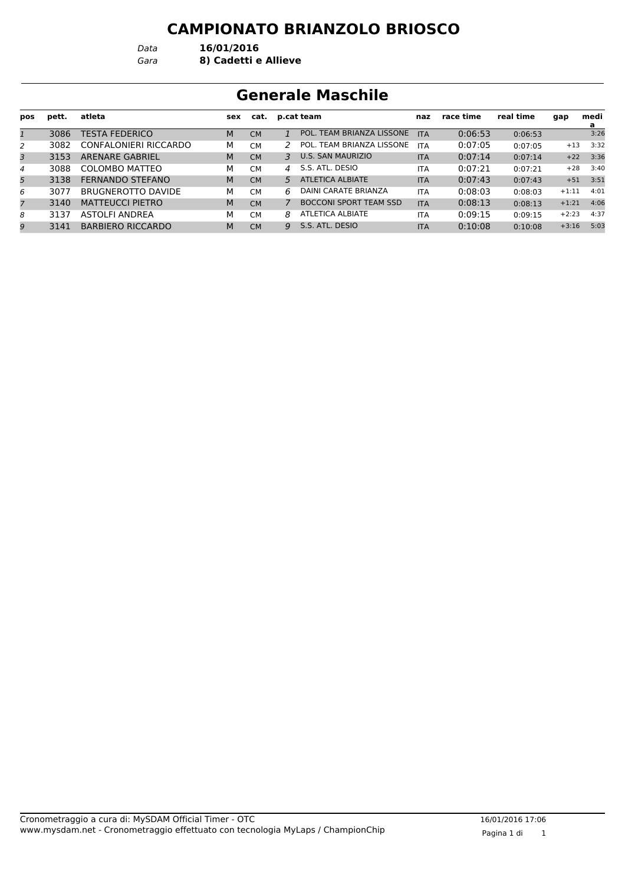*Data* **16/01/2016**

*Gara* **8) Cadetti e Allieve**

# **Generale Maschile**

| pos            | pett. | atleta                   | sex | cat.      |               | p.cat team                    | naz        | race time | real time | gap     | medi      |
|----------------|-------|--------------------------|-----|-----------|---------------|-------------------------------|------------|-----------|-----------|---------|-----------|
| 1              | 3086  | <b>TESTA FEDERICO</b>    | M   | <b>CM</b> |               | POL. TEAM BRIANZA LISSONE     | <b>ITA</b> | 0:06:53   | 0:06:53   |         | a<br>3:26 |
| 2              | 3082  | CONFALONIERI RICCARDO    | М   | <b>CM</b> |               | POL. TEAM BRIANZA LISSONE     | <b>ITA</b> | 0:07:05   | 0:07:05   | $+13$   | 3:32      |
| 3              | 3153  | <b>ARENARE GABRIEL</b>   | M   | <b>CM</b> | 3             | <b>U.S. SAN MAURIZIO</b>      | <b>ITA</b> | 0:07:14   | 0:07:14   | $+22$   | 3:36      |
| 4              | 3088  | COLOMBO MATTEO           | М   | <b>CM</b> | $\mathcal{A}$ | S.S. ATL. DESIO               | <b>ITA</b> | 0:07:21   | 0:07:21   | $+28$   | 3:40      |
| 5              | 3138  | FERNANDO STEFANO         | M   | <b>CM</b> | 5             | ATLETICA ALBIATE              | <b>ITA</b> | 0:07:43   | 0:07:43   | $+51$   | 3:51      |
| 6              | 3077  | BRUGNEROTTO DAVIDE       | М   | <b>CM</b> | 6             | DAINI CARATE BRIANZA          | <b>ITA</b> | 0:08:03   | 0:08:03   | $+1:11$ | 4:01      |
| $\overline{7}$ | 3140  | <b>MATTEUCCI PIETRO</b>  | M   | <b>CM</b> | 7             | <b>BOCCONI SPORT TEAM SSD</b> | <b>ITA</b> | 0:08:13   | 0:08:13   | $+1:21$ | 4:06      |
| 8              | 3137  | ASTOLFI ANDREA           | М   | <b>CM</b> | 8             | <b>ATLETICA ALBIATE</b>       | <b>ITA</b> | 0:09:15   | 0:09:15   | $+2:23$ | 4:37      |
| 9              | 3141  | <b>BARBIERO RICCARDO</b> | M   | <b>CM</b> | Q             | S.S. ATL. DESIO               | <b>ITA</b> | 0:10:08   | 0:10:08   | $+3:16$ | 5:03      |
|                |       |                          |     |           |               |                               |            |           |           |         |           |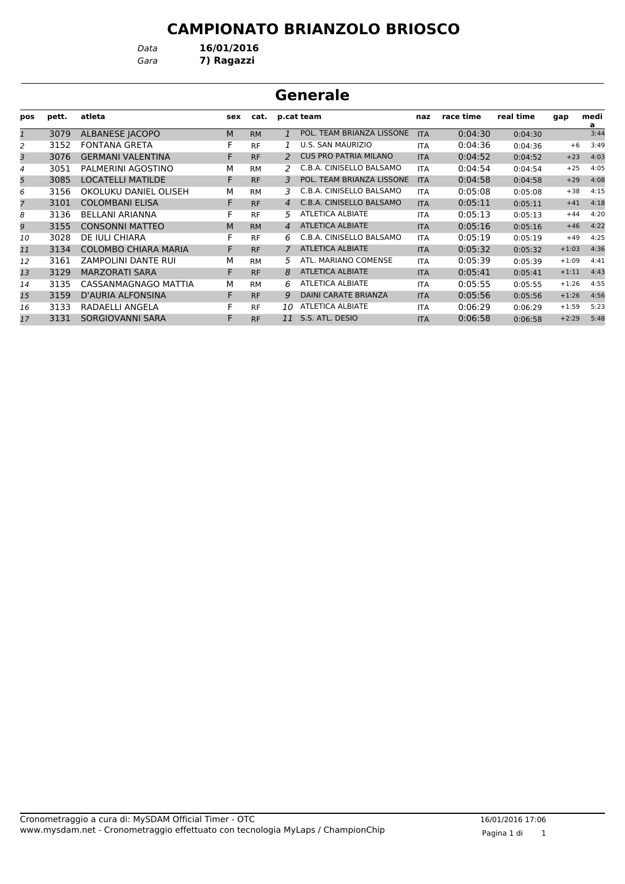*Data* **16/01/2016**

*Gara* **7) Ragazzi**

|              |       |                             |     |           |                | <b>Generale</b>              |            |           |           |         |           |
|--------------|-------|-----------------------------|-----|-----------|----------------|------------------------------|------------|-----------|-----------|---------|-----------|
| pos          | pett. | atleta                      | sex | cat.      |                | p.cat team                   | naz        | race time | real time | gap     | medi<br>a |
| $\mathbf{1}$ | 3079  | <b>ALBANESE JACOPO</b>      | M   | <b>RM</b> | $\mathbf{1}$   | POL. TEAM BRIANZA LISSONE    | <b>ITA</b> | 0:04:30   | 0:04:30   |         | 3:44      |
| 2            | 3152  | <b>FONTANA GRETA</b>        | F   | <b>RF</b> |                | <b>U.S. SAN MAURIZIO</b>     | <b>ITA</b> | 0:04:36   | 0:04:36   | $+6$    | 3:49      |
| 3            | 3076  | <b>GERMANI VALENTINA</b>    | F   | <b>RF</b> | 2              | <b>CUS PRO PATRIA MILANO</b> | <b>ITA</b> | 0:04:52   | 0:04:52   | $+23$   | 4:03      |
| 4            | 3051  | PALMERINI AGOSTINO          | M   | <b>RM</b> | 2              | C.B.A. CINISELLO BALSAMO     | <b>ITA</b> | 0:04:54   | 0:04:54   | $+25$   | 4:05      |
| 5            | 3085  | <b>LOCATELLI MATILDE</b>    | F   | <b>RF</b> | 3              | POL. TEAM BRIANZA LISSONE    | <b>ITA</b> | 0:04:58   | 0:04:58   | $+29$   | 4:08      |
| 6            | 3156  | OKOLUKU DANIEL OLISEH       | М   | <b>RM</b> | 3              | C.B.A. CINISELLO BALSAMO     | <b>ITA</b> | 0:05:08   | 0:05:08   | $+38$   | 4:15      |
| 7            | 3101  | <b>COLOMBANI ELISA</b>      | F   | <b>RF</b> | $\overline{4}$ | C.B.A. CINISELLO BALSAMO     | <b>ITA</b> | 0:05:11   | 0:05:11   | $+41$   | 4:18      |
| 8            | 3136  | <b>BELLANI ARIANNA</b>      | F   | <b>RF</b> | 5.             | <b>ATLETICA ALBIATE</b>      | <b>ITA</b> | 0:05:13   | 0:05:13   | $+44$   | 4:20      |
| 9            | 3155  | <b>CONSONNI MATTEO</b>      | M   | <b>RM</b> | $\overline{4}$ | <b>ATLETICA ALBIATE</b>      | <b>ITA</b> | 0:05:16   | 0:05:16   | $+46$   | 4:22      |
| 10           | 3028  | DE IULI CHIARA              | F   | <b>RF</b> | 6.             | C.B.A. CINISELLO BALSAMO     | <b>ITA</b> | 0:05:19   | 0:05:19   | $+49$   | 4:25      |
| 11           | 3134  | <b>COLOMBO CHIARA MARIA</b> | F   | <b>RF</b> |                | <b>ATLETICA ALBIATE</b>      | <b>ITA</b> | 0:05:32   | 0:05:32   | $+1:03$ | 4:36      |
| 12           | 3161  | <b>ZAMPOLINI DANTE RUI</b>  | М   | <b>RM</b> | 5.             | ATL. MARIANO COMENSE         | <b>ITA</b> | 0:05:39   | 0:05:39   | $+1:09$ | 4:41      |
| 13           | 3129  | <b>MARZORATI SARA</b>       | F   | <b>RF</b> | 8              | <b>ATLETICA ALBIATE</b>      | <b>ITA</b> | 0:05:41   | 0:05:41   | $+1:11$ | 4:43      |
| 14           | 3135  | CASSANMAGNAGO MATTIA        | М   | <b>RM</b> | 6              | <b>ATLETICA ALBIATE</b>      | <b>ITA</b> | 0:05:55   | 0:05:55   | $+1:26$ | 4:55      |
| 15           | 3159  | <b>D'AURIA ALFONSINA</b>    | F   | <b>RF</b> | 9              | <b>DAINI CARATE BRIANZA</b>  | <b>ITA</b> | 0:05:56   | 0:05:56   | $+1:26$ | 4:56      |
| 16           | 3133  | RADAELLI ANGELA             | F   | <b>RF</b> | 10             | <b>ATLETICA ALBIATE</b>      | <b>ITA</b> | 0:06:29   | 0:06:29   | $+1:59$ | 5:23      |
| 17           | 3131  | SORGIOVANNI SARA            | F   | <b>RF</b> | 11             | S.S. ATL. DESIO              | <b>ITA</b> | 0:06:58   | 0:06:58   | $+2:29$ | 5:48      |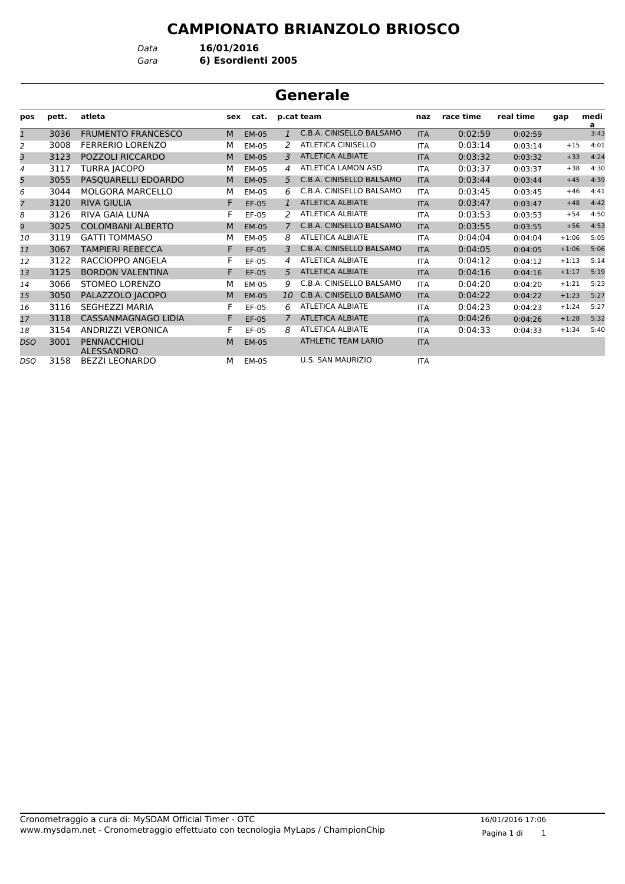*Data* **16/01/2016**

*Gara* **6) Esordienti 2005**

|              | Generale |                                   |     |              |                |                            |            |           |           |         |           |  |  |
|--------------|----------|-----------------------------------|-----|--------------|----------------|----------------------------|------------|-----------|-----------|---------|-----------|--|--|
| pos          | pett.    | atleta                            | sex | cat.         |                | p.cat team                 | naz        | race time | real time | gap     | medi<br>a |  |  |
| $\mathbf{1}$ | 3036     | <b>FRUMENTO FRANCESCO</b>         | M   | <b>EM-05</b> | $\mathbf{1}$   | C.B.A. CINISELLO BALSAMO   | <b>ITA</b> | 0:02:59   | 0:02:59   |         | 3:43      |  |  |
| 2            | 3008     | <b>FERRERIO LORENZO</b>           | м   | EM-05        | 2              | <b>ATLETICA CINISELLO</b>  | <b>ITA</b> | 0:03:14   | 0:03:14   | $+15$   | 4:01      |  |  |
| 3            | 3123     | POZZOLI RICCARDO                  | M   | <b>EM-05</b> | 3              | <b>ATLETICA ALBIATE</b>    | <b>ITA</b> | 0:03:32   | 0:03:32   | $+33$   | 4:24      |  |  |
| 4            | 3117     | <b>TURRA JACOPO</b>               | М   | EM-05        | $\overline{4}$ | ATLETICA LAMON ASD         | <b>ITA</b> | 0:03:37   | 0:03:37   | $+38$   | 4:30      |  |  |
| 5            | 3055     | PASQUARELLI EDOARDO               | M   | <b>EM-05</b> | $5^{\circ}$    | C.B.A. CINISELLO BALSAMO   | <b>ITA</b> | 0:03:44   | 0:03:44   | $+45$   | 4:39      |  |  |
| 6            | 3044     | <b>MOLGORA MARCELLO</b>           | м   | EM-05        | 6              | C.B.A. CINISELLO BALSAMO   | <b>ITA</b> | 0:03:45   | 0:03:45   | $+46$   | 4:41      |  |  |
| 7            | 3120     | <b>RIVA GIULIA</b>                | F   | EF-05        | $\mathbf{1}$   | <b>ATLETICA ALBIATE</b>    | <b>ITA</b> | 0:03:47   | 0:03:47   | $+48$   | 4:42      |  |  |
| 8            | 3126     | <b>RIVA GAIA LUNA</b>             | F   | EF-05        | 2              | <b>ATLETICA ALBIATE</b>    | <b>ITA</b> | 0:03:53   | 0:03:53   | $+54$   | 4:50      |  |  |
| 9            | 3025     | <b>COLOMBANI ALBERTO</b>          | M   | <b>EM-05</b> | $\overline{7}$ | C.B.A. CINISELLO BALSAMO   | <b>ITA</b> | 0:03:55   | 0:03:55   | $+56$   | 4:53      |  |  |
| 10           | 3119     | <b>GATTI TOMMASO</b>              | М   | EM-05        | 8              | <b>ATLETICA ALBIATE</b>    | <b>ITA</b> | 0:04:04   | 0:04:04   | $+1:06$ | 5:05      |  |  |
| 11           | 3067     | <b>TAMPIERI REBECCA</b>           | F   | EF-05        | 3              | C.B.A. CINISELLO BALSAMO   | <b>ITA</b> | 0:04:05   | 0:04:05   | $+1:06$ | 5:06      |  |  |
| 12           | 3122     | RACCIOPPO ANGELA                  | F   | EF-05        | 4              | <b>ATLETICA ALBIATE</b>    | <b>ITA</b> | 0:04:12   | 0:04:12   | $+1:13$ | 5:14      |  |  |
| 13           | 3125     | <b>BORDON VALENTINA</b>           | F   | EF-05        | 5              | <b>ATLETICA ALBIATE</b>    | <b>ITA</b> | 0:04:16   | 0:04:16   | $+1:17$ | 5:19      |  |  |
| 14           | 3066     | <b>STOMEO LORENZO</b>             | м   | EM-05        | 9              | C.B.A. CINISELLO BALSAMO   | <b>ITA</b> | 0:04:20   | 0:04:20   | $+1:21$ | 5:23      |  |  |
| 15           | 3050     | PALAZZOLO JACOPO                  | M   | EM-05        | 10             | C.B.A. CINISELLO BALSAMO   | <b>ITA</b> | 0:04:22   | 0:04:22   | $+1:23$ | 5:27      |  |  |
| 16           | 3116     | <b>SEGHEZZI MARIA</b>             | F   | EF-05        | 6              | <b>ATLETICA ALBIATE</b>    | <b>ITA</b> | 0:04:23   | 0:04:23   | $+1:24$ | 5:27      |  |  |
| 17           | 3118     | <b>CASSANMAGNAGO LIDIA</b>        | F   | EF-05        | $\mathcal{L}$  | <b>ATLETICA ALBIATE</b>    | <b>ITA</b> | 0:04:26   | 0:04:26   | $+1:28$ | 5:32      |  |  |
| 18           | 3154     | <b>ANDRIZZI VERONICA</b>          | F   | EF-05        | 8              | <b>ATLETICA ALBIATE</b>    | <b>ITA</b> | 0:04:33   | 0:04:33   | $+1:34$ | 5:40      |  |  |
| DSQ          | 3001     | PENNACCHIOLI<br><b>ALESSANDRO</b> | M   | <b>EM-05</b> |                | <b>ATHLETIC TEAM LARIO</b> | <b>ITA</b> |           |           |         |           |  |  |
| DSO          | 3158     | <b>BEZZI LEONARDO</b>             | М   | <b>EM-05</b> |                | <b>U.S. SAN MAURIZIO</b>   | <b>ITA</b> |           |           |         |           |  |  |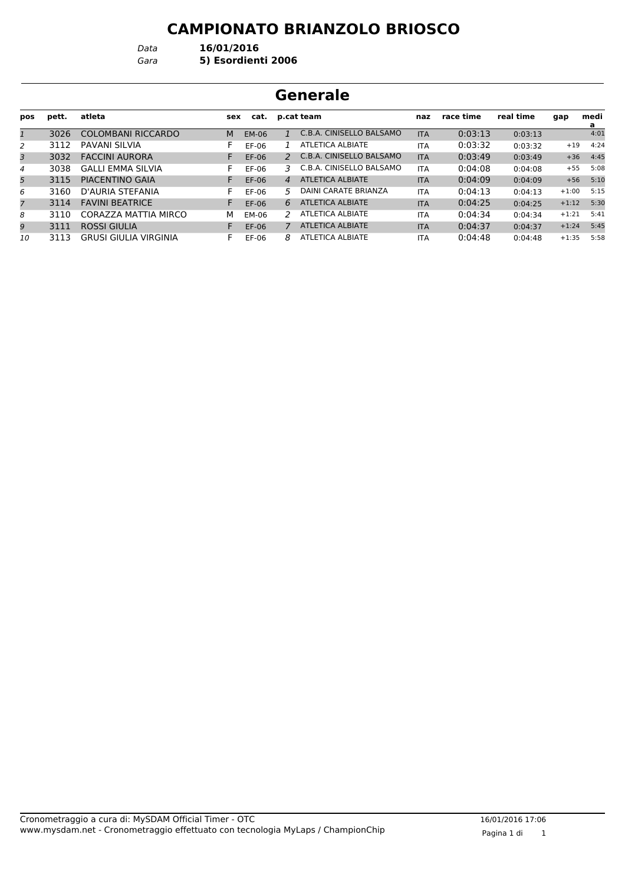*Data* **16/01/2016**

#### *Gara* **5) Esordienti 2006**

| Generale       |       |                          |     |         |                |                          |            |           |           |         |                  |  |
|----------------|-------|--------------------------|-----|---------|----------------|--------------------------|------------|-----------|-----------|---------|------------------|--|
| pos            | pett. | atleta                   | sex | cat.    |                | p.cat team               |            | race time | real time | gap     | medi<br><u>a</u> |  |
| $\mathbf{1}$   | 3026  | COLOMBANI RICCARDO       | M   | EM-06   |                | C.B.A. CINISELLO BALSAMO | <b>ITA</b> | 0:03:13   | 0:03:13   |         | 4:01             |  |
| 2              | 3112  | PAVANI SILVIA            | F.  | $EF-06$ |                | <b>ATLETICA ALBIATE</b>  | <b>ITA</b> | 0:03:32   | 0:03:32   | $+19$   | 4:24             |  |
| 3              | 3032  | <b>FACCINI AURORA</b>    |     | $EF-06$ | $\mathcal{P}$  | C.B.A. CINISELLO BALSAMO | <b>ITA</b> | 0:03:49   | 0:03:49   | $+36$   | 4:45             |  |
| $\overline{4}$ | 3038  | <b>GALLI EMMA SILVIA</b> | F.  | EF-06   | 3              | C.B.A. CINISELLO BALSAMO | <b>ITA</b> | 0:04:08   | 0:04:08   | $+55$   | 5:08             |  |
| 5              | 3115  | PIACENTINO GAIA          | F.  | $EF-06$ | $\overline{A}$ | <b>ATLETICA ALBIATE</b>  | <b>ITA</b> | 0:04:09   | 0:04:09   | $+56$   | 5:10             |  |
| 6              | 3160  | D'AURIA STEFANIA         | F.  | EF-06   | 5.             | DAINI CARATE BRIANZA     | <b>ITA</b> | 0:04:13   | 0:04:13   | $+1:00$ | 5:15             |  |
| $\overline{7}$ | 3114  | <b>FAVINI BEATRICE</b>   |     | $EF-06$ | 6              | <b>ATLETICA ALBIATE</b>  | <b>ITA</b> | 0:04:25   | 0:04:25   | $+1:12$ | 5:30             |  |
| 8              | 3110  | CORAZZA MATTIA MIRCO     | м   | EM-06   | $\mathcal{P}$  | ATLETICA ALBIATE         | <b>ITA</b> | 0:04:34   | 0:04:34   | $+1:21$ | 5:41             |  |
| 9              | 3111  | <b>ROSSI GIULIA</b>      |     | EF-06   | 7              | <b>ATLETICA ALBIATE</b>  | <b>ITA</b> | 0:04:37   | 0:04:37   | $+1:24$ | 5:45             |  |
| 10             | 3113  | GRUSI GIULIA VIRGINIA    | F.  | EF-06   | 8              | <b>ATLETICA ALBIATE</b>  | <b>ITA</b> | 0:04:48   | 0:04:48   | $+1:35$ | 5:58             |  |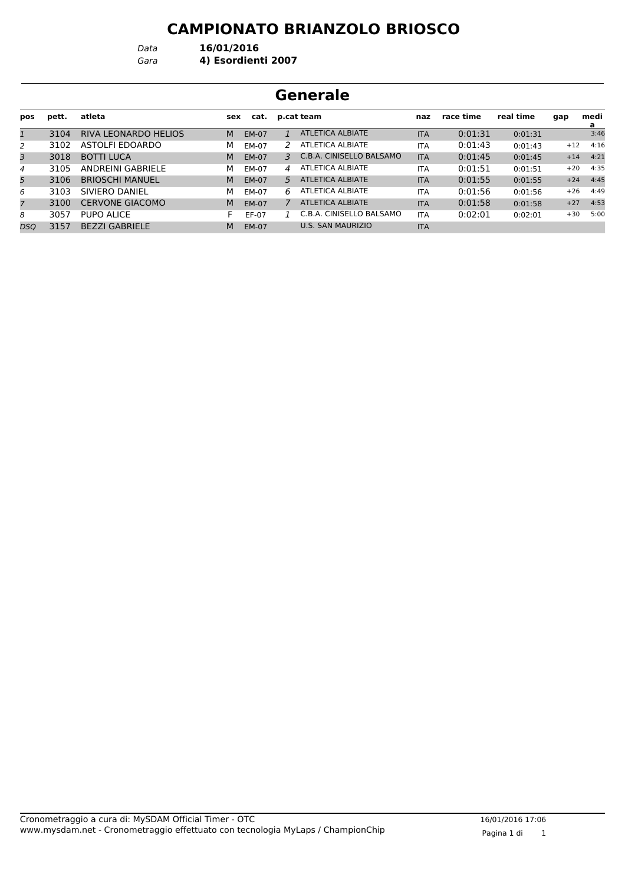*Data* **16/01/2016**

*Gara* **4) Esordienti 2007**

| Generale     |       |                             |     |       |    |                          |            |           |           |       |           |
|--------------|-------|-----------------------------|-----|-------|----|--------------------------|------------|-----------|-----------|-------|-----------|
| pos          | pett. | atleta                      | sex | cat.  |    | p.cat team               | naz        | race time | real time | gap   | medi<br>a |
| $\mathbf{1}$ | 3104  | <b>RIVA LEONARDO HELIOS</b> | M   | EM-07 |    | <b>ATLETICA ALBIATE</b>  | <b>ITA</b> | 0:01:31   | 0:01:31   |       | 3:46      |
| 2            | 3102  | ASTOLFI EDOARDO             | м   | EM-07 | 2  | <b>ATLETICA ALBIATE</b>  | <b>ITA</b> | 0:01:43   | 0:01:43   | $+12$ | 4:16      |
| 3            | 3018  | <b>BOTTI LUCA</b>           | M   | EM-07 | 3  | C.B.A. CINISELLO BALSAMO | <b>ITA</b> | 0:01:45   | 0:01:45   | $+14$ | 4:21      |
| 4            | 3105  | ANDREINI GABRIELE           | м   | EM-07 | 4  | ATLETICA ALBIATE         | <b>ITA</b> | 0:01:51   | 0:01:51   | $+20$ | 4:35      |
| 5            | 3106  | <b>BRIOSCHI MANUEL</b>      | M   | EM-07 | 5. | <b>ATLETICA ALBIATE</b>  | <b>ITA</b> | 0:01:55   | 0:01:55   | $+24$ | 4:45      |
| 6            | 3103  | SIVIERO DANIEL              | м   | EM-07 | 6  | ATLETICA ALBIATE         | <b>ITA</b> | 0:01:56   | 0:01:56   | $+26$ | 4:49      |
| 7            | 3100  | <b>CERVONE GIACOMO</b>      | M   | EM-07 |    | <b>ATLETICA ALBIATE</b>  | <b>ITA</b> | 0:01:58   | 0:01:58   | $+27$ | 4:53      |
| 8            | 3057  | <b>PUPO ALICE</b>           | F.  | EF-07 |    | C.B.A. CINISELLO BALSAMO | <b>ITA</b> | 0:02:01   | 0:02:01   | $+30$ | 5:00      |
| DSO          | 3157  | <b>BEZZI GABRIELE</b>       | M   | EM-07 |    | <b>U.S. SAN MAURIZIO</b> | <b>ITA</b> |           |           |       |           |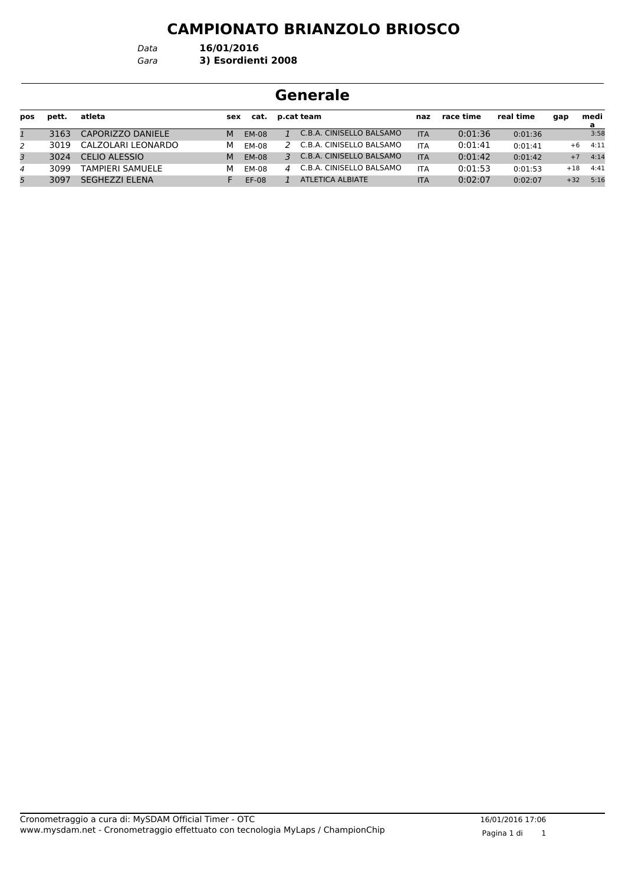*Data* **16/01/2016**

#### *Gara* **3) Esordienti 2008**

| pos          | pett. | atleta               | sex | cat.         |                   | p.cat team               | naz        | race time | real time | qap   | medi<br>a |
|--------------|-------|----------------------|-----|--------------|-------------------|--------------------------|------------|-----------|-----------|-------|-----------|
| $\mathbf{1}$ | 3163  | CAPORIZZO DANIELE    | м   | <b>EM-08</b> |                   | C.B.A. CINISELLO BALSAMO | <b>ITA</b> | 0:01:36   | 0:01:36   |       | 3:58      |
| 2            | 3019  | CALZOLARI LEONARDO   | м   | EM-08        |                   | C.B.A. CINISELLO BALSAMO | <b>ITA</b> | 0:01:41   | 0:01:41   | $+6$  | 4:11      |
| 3            | 3024  | CELIO ALESSIO        | м   | <b>EM-08</b> | $\mathbf{R}$      | C.B.A. CINISELLO BALSAMO | <b>ITA</b> | 0:01:42   | 0:01:42   | $+7$  | 4:14      |
| 4            | 3099  | TAMPIERI SAMUELE     | м   | EM-08        | $\mathbf{\Delta}$ | C.B.A. CINISELLO BALSAMO | <b>ITA</b> | 0:01:53   | 0:01:53   | $+18$ | 4:41      |
| 5            | 3097  | <b>SEGHEZZLELENA</b> |     | $FF-08$      |                   | ATLETICA ALBIATE         | <b>ITA</b> | 0:02:07   | 0:02:07   | $+32$ | 5:16      |